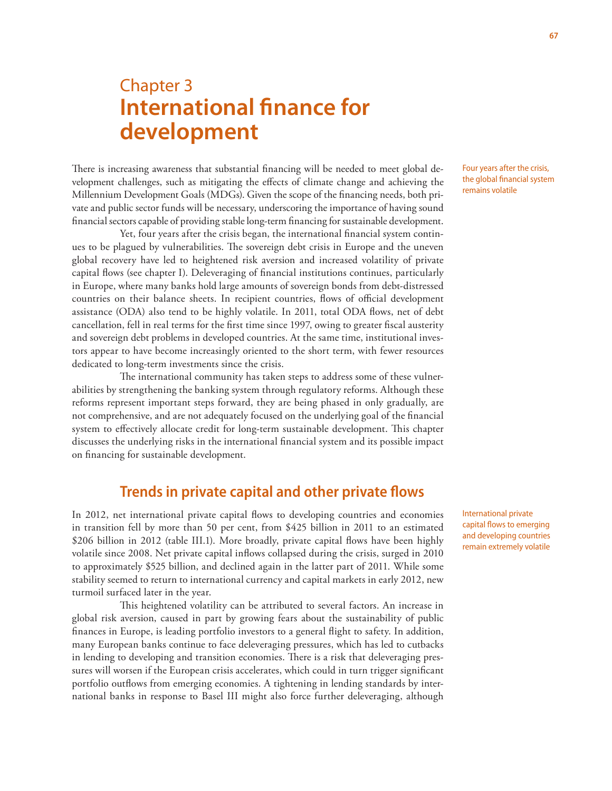# Chapter 3 **International finance for development**

There is increasing awareness that substantial financing will be needed to meet global development challenges, such as mitigating the effects of climate change and achieving the Millennium Development Goals (MDGs). Given the scope of the financing needs, both private and public sector funds will be necessary, underscoring the importance of having sound financial sectors capable of providing stable long-term financing for sustainable development.

Yet, four years after the crisis began, the international financial system continues to be plagued by vulnerabilities. The sovereign debt crisis in Europe and the uneven global recovery have led to heightened risk aversion and increased volatility of private capital flows (see chapter I). Deleveraging of financial institutions continues, particularly in Europe, where many banks hold large amounts of sovereign bonds from debt-distressed countries on their balance sheets. In recipient countries, flows of official development assistance (ODA) also tend to be highly volatile. In 2011, total ODA flows, net of debt cancellation, fell in real terms for the first time since 1997, owing to greater fiscal austerity and sovereign debt problems in developed countries. At the same time, institutional investors appear to have become increasingly oriented to the short term, with fewer resources dedicated to long-term investments since the crisis.

The international community has taken steps to address some of these vulnerabilities by strengthening the banking system through regulatory reforms. Although these reforms represent important steps forward, they are being phased in only gradually, are not comprehensive, and are not adequately focused on the underlying goal of the financial system to effectively allocate credit for long-term sustainable development. This chapter discusses the underlying risks in the international financial system and its possible impact on financing for sustainable development.

# **Trends in private capital and other private flows**

In 2012, net international private capital flows to developing countries and economies in transition fell by more than 50 per cent, from \$425 billion in 2011 to an estimated \$206 billion in 2012 (table III.1). More broadly, private capital flows have been highly volatile since 2008. Net private capital inflows collapsed during the crisis, surged in 2010 to approximately \$525 billion, and declined again in the latter part of 2011. While some stability seemed to return to international currency and capital markets in early 2012, new turmoil surfaced later in the year.

This heightened volatility can be attributed to several factors. An increase in global risk aversion, caused in part by growing fears about the sustainability of public finances in Europe, is leading portfolio investors to a general flight to safety. In addition, many European banks continue to face deleveraging pressures, which has led to cutbacks in lending to developing and transition economies. There is a risk that deleveraging pressures will worsen if the European crisis accelerates, which could in turn trigger significant portfolio outflows from emerging economies. A tightening in lending standards by international banks in response to Basel III might also force further deleveraging, although Four years after the crisis, the global financial system remains volatile

International private capital flows to emerging and developing countries remain extremely volatile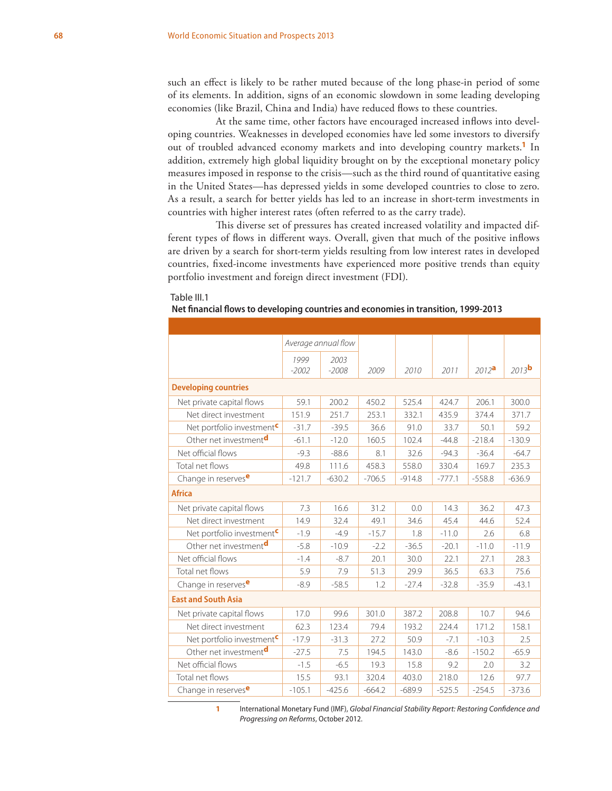such an effect is likely to be rather muted because of the long phase-in period of some of its elements. In addition, signs of an economic slowdown in some leading developing economies (like Brazil, China and India) have reduced flows to these countries.

At the same time, other factors have encouraged increased inflows into developing countries. Weaknesses in developed economies have led some investors to diversify out of troubled advanced economy markets and into developing country markets.**1** In addition, extremely high global liquidity brought on by the exceptional monetary policy measures imposed in response to the crisis—such as the third round of quantitative easing in the United States—has depressed yields in some developed countries to close to zero. As a result, a search for better yields has led to an increase in short-term investments in countries with higher interest rates (often referred to as the carry trade).

This diverse set of pressures has created increased volatility and impacted different types of flows in different ways. Overall, given that much of the positive inflows are driven by a search for short-term yields resulting from low interest rates in developed countries, fixed-income investments have experienced more positive trends than equity portfolio investment and foreign direct investment (FDI).

#### Table III.1

| Net financial flows to developing countries and economies in transition, 1999-2013 |  |  |  |
|------------------------------------------------------------------------------------|--|--|--|
|------------------------------------------------------------------------------------|--|--|--|

|                                       | Average annual flow |          |          |          |          |          |                 |
|---------------------------------------|---------------------|----------|----------|----------|----------|----------|-----------------|
|                                       | 1999                | 2003     |          |          |          |          |                 |
|                                       | $-2002$             | $-2008$  | 2009     | 2010     | 2011     | 2012a    | $2013$ <b>b</b> |
| <b>Developing countries</b>           |                     |          |          |          |          |          |                 |
| Net private capital flows             | 59.1                | 200.2    | 450.2    | 525.4    | 424.7    | 206.1    | 300.0           |
| Net direct investment                 | 151.9               | 251.7    | 253.1    | 332.1    | 435.9    | 374.4    | 371.7           |
| Net portfolio investment <sup>c</sup> | $-31.7$             | $-39.5$  | 36.6     | 91.0     | 33.7     | 50.1     | 59.2            |
| Other net investment <sup>d</sup>     | $-61.1$             | $-12.0$  | 160.5    | 102.4    | $-44.8$  | $-218.4$ | $-130.9$        |
| Net official flows                    | $-9.3$              | $-88.6$  | 8.1      | 32.6     | $-94.3$  | $-36.4$  | $-64.7$         |
| Total net flows                       | 49.8                | 111.6    | 458.3    | 558.0    | 330.4    | 169.7    | 235.3           |
| Change in reserves <sup>e</sup>       | $-121.7$            | $-630.2$ | $-706.5$ | $-914.8$ | $-777.1$ | $-558.8$ | $-636.9$        |
| <b>Africa</b>                         |                     |          |          |          |          |          |                 |
| Net private capital flows             | 7.3                 | 16.6     | 31.2     | 0.0      | 14.3     | 36.2     | 47.3            |
| Net direct investment                 | 14.9                | 32.4     | 49.1     | 34.6     | 45.4     | 44.6     | 52.4            |
| Net portfolio investment <sup>c</sup> | $-1.9$              | $-4.9$   | $-15.7$  | 1.8      | $-11.0$  | 2.6      | 6.8             |
| Other net investment <sup>d</sup>     | $-5.8$              | $-10.9$  | $-2.2$   | $-36.5$  | $-20.1$  | $-11.0$  | $-11.9$         |
| Net official flows                    | $-1.4$              | $-8.7$   | 20.1     | 30.0     | 22.1     | 27.1     | 28.3            |
| Total net flows                       | 5.9                 | 7.9      | 51.3     | 29.9     | 36.5     | 63.3     | 75.6            |
| Change in reserves <sup>e</sup>       | $-8.9$              | $-58.5$  | 1.2      | $-27.4$  | $-32.8$  | $-35.9$  | $-43.1$         |
| <b>East and South Asia</b>            |                     |          |          |          |          |          |                 |
| Net private capital flows             | 17.0                | 99.6     | 301.0    | 387.2    | 208.8    | 10.7     | 94.6            |
| Net direct investment                 | 62.3                | 123.4    | 79.4     | 193.2    | 224.4    | 171.2    | 158.1           |
| Net portfolio investment <sup>c</sup> | $-17.9$             | $-31.3$  | 27.2     | 50.9     | $-7.1$   | $-10.3$  | 2.5             |
| Other net investment <sup>d</sup>     | $-27.5$             | 7.5      | 194.5    | 143.0    | $-8.6$   | $-150.2$ | $-65.9$         |
| Net official flows                    | $-1.5$              | $-6.5$   | 19.3     | 15.8     | 9.2      | 2.0      | 3.2             |
| Total net flows                       | 15.5                | 93.1     | 320.4    | 403.0    | 218.0    | 12.6     | 97.7            |
| Change in reservese                   | $-105.1$            | $-425.6$ | $-664.2$ | $-689.9$ | $-525.5$ | $-254.5$ | $-373.6$        |

**1** International Monetary Fund (IMF), *Global Financial Stability Report: Restoring Confidence and Progressing on Reforms*, October 2012.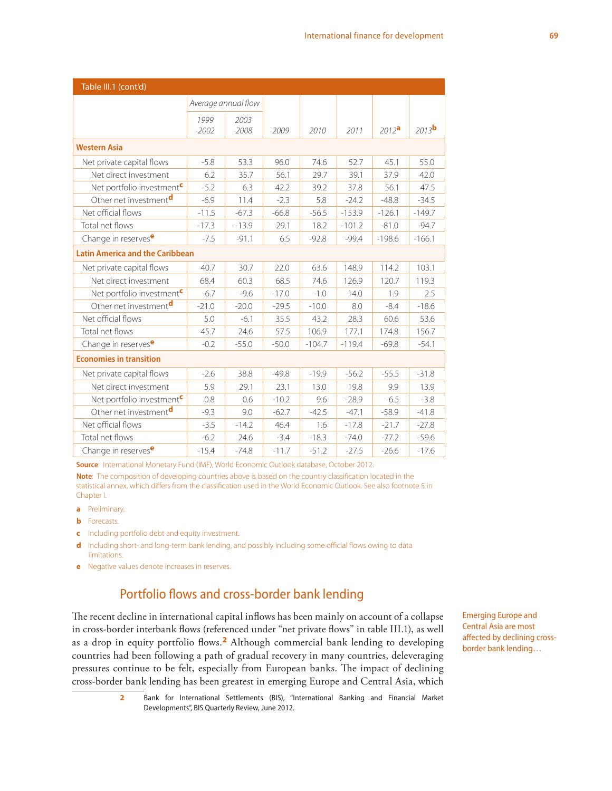| Table III.1 (cont'd)                   |                     |         |         |          |          |          |                 |
|----------------------------------------|---------------------|---------|---------|----------|----------|----------|-----------------|
|                                        | Average annual flow |         |         |          |          |          |                 |
|                                        | 1999                | 2003    |         |          |          |          |                 |
|                                        | $-2002$             | $-2008$ | 2009    | 2010     | 2011     | 2012a    | $2013$ <b>b</b> |
| <b>Western Asia</b>                    |                     |         |         |          |          |          |                 |
| Net private capital flows              | $-5.8$              | 53.3    | 96.0    | 74.6     | 52.7     | 45.1     | 55.0            |
| Net direct investment                  | 6.2                 | 35.7    | 56.1    | 29.7     | 39.1     | 37.9     | 42.0            |
| Net portfolio investment <sup>c</sup>  | $-5.2$              | 6.3     | 42.2    | 39.2     | 37.8     | 56.1     | 47.5            |
| Other net investment <sup>d</sup>      | $-6.9$              | 11.4    | $-2.3$  | 5.8      | $-24.2$  | $-48.8$  | $-34.5$         |
| Net official flows                     | $-11.5$             | $-67.3$ | $-66.8$ | $-56.5$  | $-153.9$ | $-126.1$ | $-149.7$        |
| Total net flows                        | $-17.3$             | $-13.9$ | 29.1    | 18.2     | $-101.2$ | $-81.0$  | $-94.7$         |
| Change in reserves <sup>e</sup>        | $-7.5$              | $-91.1$ | 6.5     | $-92.8$  | $-99.4$  | $-198.6$ | $-166.1$        |
| <b>Latin America and the Caribbean</b> |                     |         |         |          |          |          |                 |
| Net private capital flows              | 40.7                | 30.7    | 22.0    | 63.6     | 148.9    | 114.2    | 103.1           |
| Net direct investment                  | 68.4                | 60.3    | 68.5    | 74.6     | 126.9    | 120.7    | 119.3           |
| Net portfolio investment <sup>c</sup>  | $-6.7$              | $-9.6$  | $-17.0$ | $-1.0$   | 14.0     | 1.9      | 2.5             |
| Other net investment <sup>d</sup>      | $-21.0$             | $-20.0$ | $-29.5$ | $-10.0$  | 8.0      | $-8.4$   | $-18.6$         |
| Net official flows                     | 5.0                 | $-6.1$  | 35.5    | 43.2     | 28.3     | 60.6     | 53.6            |
| Total net flows                        | 45.7                | 24.6    | 57.5    | 106.9    | 177.1    | 174.8    | 156.7           |
| Change in reserves <sup>e</sup>        | $-0.2$              | $-55.0$ | $-50.0$ | $-104.7$ | $-119.4$ | $-69.8$  | $-54.1$         |
| <b>Economies in transition</b>         |                     |         |         |          |          |          |                 |
| Net private capital flows              | $-2.6$              | 38.8    | $-49.8$ | $-19.9$  | $-56.2$  | $-55.5$  | $-31.8$         |
| Net direct investment                  | 5.9                 | 29.1    | 23.1    | 13.0     | 19.8     | 9.9      | 13.9            |
| Net portfolio investment <sup>c</sup>  | 0.8                 | 0.6     | $-10.2$ | 9.6      | $-28.9$  | $-6.5$   | $-3.8$          |
| Other net investment <sup>d</sup>      | $-9.3$              | 9.0     | $-62.7$ | $-42.5$  | $-47.1$  | $-58.9$  | $-41.8$         |
| Net official flows                     | $-3.5$              | $-14.2$ | 46.4    | 1.6      | $-17.8$  | $-21.7$  | $-27.8$         |
| Total net flows                        | $-6.2$              | 24.6    | $-3.4$  | $-18.3$  | $-74.0$  | $-77.2$  | $-59.6$         |
| Change in reserves <sup>e</sup>        | $-15.4$             | $-74.8$ | $-11.7$ | $-51.2$  | $-27.5$  | $-26.6$  | $-17.6$         |

**Source**: International Monetary Fund (IMF), World Economic Outlook database, October 2012.

**Note**: The composition of developing countries above is based on the country classification located in the statistical annex, which differs from the classification used in the World Economic Outlook. See also footnote 5 in Chapter I.

- **a** Preliminary.
- **b** Forecasts.
- **c** Including portfolio debt and equity investment.

**d** Including short- and long-term bank lending, and possibly including some official flows owing to data limitations.

**e** Negative values denote increases in reserves.

# Portfolio flows and cross-border bank lending

The recent decline in international capital inflows has been mainly on account of a collapse in cross-border interbank flows (referenced under "net private flows" in table III.1), as well as a drop in equity portfolio flows.**2** Although commercial bank lending to developing countries had been following a path of gradual recovery in many countries, deleveraging pressures continue to be felt, especially from European banks. The impact of declining cross-border bank lending has been greatest in emerging Europe and Central Asia, which

**2** Bank for International Settlements (BIS), "International Banking and Financial Market Developments", BIS Quarterly Review, June 2012.

Emerging Europe and Central Asia are most affected by declining crossborder bank lending…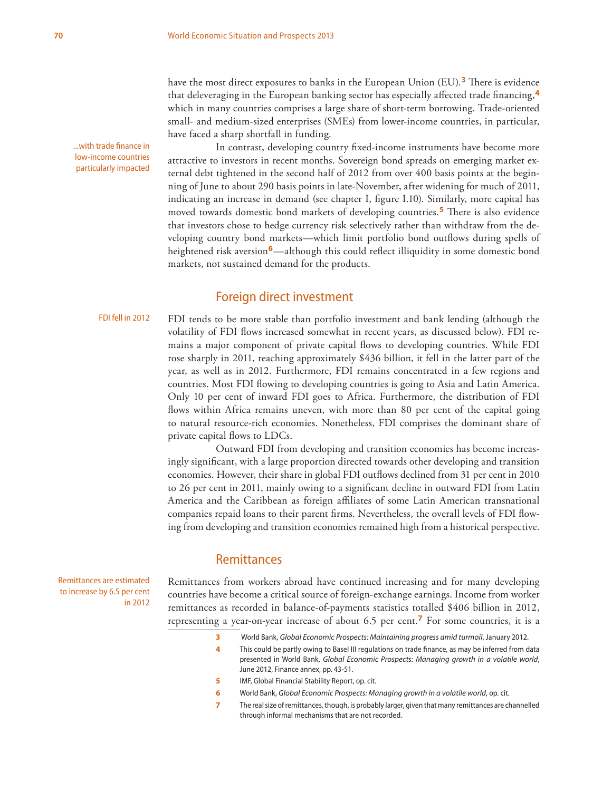have the most direct exposures to banks in the European Union (EU).**3** There is evidence that deleveraging in the European banking sector has especially affected trade financing,**<sup>4</sup>** which in many countries comprises a large share of short-term borrowing. Trade-oriented small- and medium-sized enterprises (SMEs) from lower-income countries, in particular, have faced a sharp shortfall in funding.

In contrast, developing country fixed-income instruments have become more attractive to investors in recent months. Sovereign bond spreads on emerging market external debt tightened in the second half of 2012 from over 400 basis points at the beginning of June to about 290 basis points in late-November, after widening for much of 2011, indicating an increase in demand (see chapter I, figure I.10). Similarly, more capital has moved towards domestic bond markets of developing countries.**5** There is also evidence that investors chose to hedge currency risk selectively rather than withdraw from the developing country bond markets—which limit portfolio bond outflows during spells of heightened risk aversion**6**—although this could reflect illiquidity in some domestic bond markets, not sustained demand for the products.

### Foreign direct investment

FDI tends to be more stable than portfolio investment and bank lending (although the volatility of FDI flows increased somewhat in recent years, as discussed below). FDI remains a major component of private capital flows to developing countries. While FDI rose sharply in 2011, reaching approximately \$436 billion, it fell in the latter part of the year, as well as in 2012. Furthermore, FDI remains concentrated in a few regions and countries. Most FDI flowing to developing countries is going to Asia and Latin America. Only 10 per cent of inward FDI goes to Africa. Furthermore, the distribution of FDI flows within Africa remains uneven, with more than 80 per cent of the capital going to natural resource-rich economies. Nonetheless, FDI comprises the dominant share of private capital flows to LDCs. FDI fell in 2012

> Outward FDI from developing and transition economies has become increasingly significant, with a large proportion directed towards other developing and transition economies. However, their share in global FDI outflows declined from 31 per cent in 2010 to 26 per cent in 2011, mainly owing to a significant decline in outward FDI from Latin America and the Caribbean as foreign affiliates of some Latin American transnational companies repaid loans to their parent firms. Nevertheless, the overall levels of FDI flowing from developing and transition economies remained high from a historical perspective.

### Remittances

Remittances are estimated to increase by 6.5 per cent in 2012

Remittances from workers abroad have continued increasing and for many developing countries have become a critical source of foreign-exchange earnings. Income from worker remittances as recorded in balance-of-payments statistics totalled \$406 billion in 2012, representing a year-on-year increase of about 6.5 per cent.**7** For some countries, it is a

- **3** World Bank, *Global Economic Prospects: Maintaining progress amid turmoil*, January 2012.
- **4** This could be partly owing to Basel III regulations on trade finance, as may be inferred from data presented in World Bank, *Global Economic Prospects: Managing growth in a volatile world*, June 2012, Finance annex, pp. 43-51.
- **5** IMF, Global Financial Stability Report, op. cit.
- **6** World Bank, *Global Economic Prospects: Managing growth in a volatile world*, op. cit.
- **7** The real size of remittances, though, is probably larger, given that many remittances are channelled through informal mechanisms that are not recorded.

...with trade finance in low-income countries particularly impacted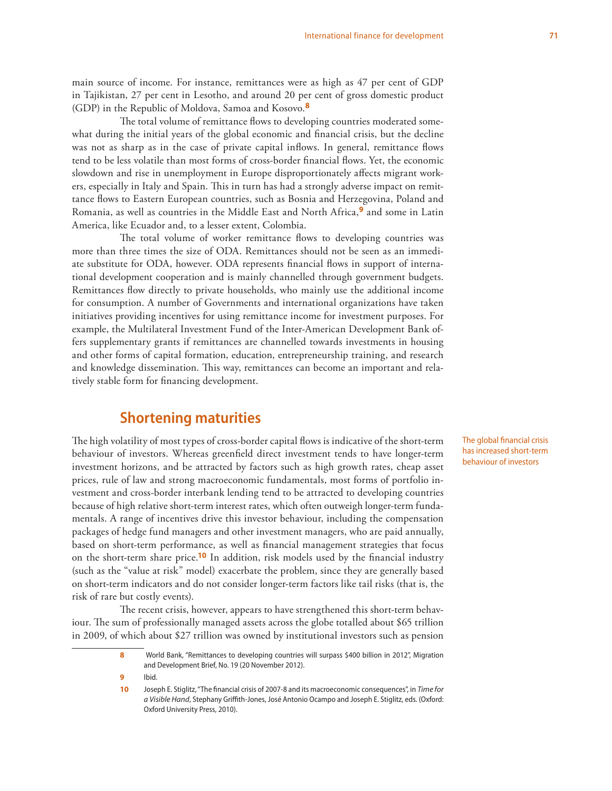main source of income. For instance, remittances were as high as 47 per cent of GDP in Tajikistan, 27 per cent in Lesotho, and around 20 per cent of gross domestic product (GDP) in the Republic of Moldova, Samoa and Kosovo.**<sup>8</sup>**

The total volume of remittance flows to developing countries moderated somewhat during the initial years of the global economic and financial crisis, but the decline was not as sharp as in the case of private capital inflows. In general, remittance flows tend to be less volatile than most forms of cross-border financial flows. Yet, the economic slowdown and rise in unemployment in Europe disproportionately affects migrant workers, especially in Italy and Spain. This in turn has had a strongly adverse impact on remittance flows to Eastern European countries, such as Bosnia and Herzegovina, Poland and Romania, as well as countries in the Middle East and North Africa,**9** and some in Latin America, like Ecuador and, to a lesser extent, Colombia.

The total volume of worker remittance flows to developing countries was more than three times the size of ODA. Remittances should not be seen as an immediate substitute for ODA, however. ODA represents financial flows in support of international development cooperation and is mainly channelled through government budgets. Remittances flow directly to private households, who mainly use the additional income for consumption. A number of Governments and international organizations have taken initiatives providing incentives for using remittance income for investment purposes. For example, the Multilateral Investment Fund of the Inter-American Development Bank offers supplementary grants if remittances are channelled towards investments in housing and other forms of capital formation, education, entrepreneurship training, and research and knowledge dissemination. This way, remittances can become an important and relatively stable form for financing development.

# **Shortening maturities**

The high volatility of most types of cross-border capital flows is indicative of the short-term behaviour of investors. Whereas greenfield direct investment tends to have longer-term investment horizons, and be attracted by factors such as high growth rates, cheap asset prices, rule of law and strong macroeconomic fundamentals, most forms of portfolio investment and cross-border interbank lending tend to be attracted to developing countries because of high relative short-term interest rates, which often outweigh longer-term fundamentals. A range of incentives drive this investor behaviour, including the compensation packages of hedge fund managers and other investment managers, who are paid annually, based on short-term performance, as well as financial management strategies that focus on the short-term share price.**10** In addition, risk models used by the financial industry (such as the "value at risk" model) exacerbate the problem, since they are generally based on short-term indicators and do not consider longer-term factors like tail risks (that is, the risk of rare but costly events).

The recent crisis, however, appears to have strengthened this short-term behaviour. The sum of professionally managed assets across the globe totalled about \$65 trillion in 2009, of which about \$27 trillion was owned by institutional investors such as pension

> 8 World Bank, "Remittances to developing countries will surpass \$400 billion in 2012", Migration and Development Brief, No. 19 (20 November 2012).

**9** Ibid.

The global financial crisis has increased short-term behaviour of investors

**<sup>10</sup>** Joseph E. Stiglitz, "The financial crisis of 2007-8 and its macroeconomic consequences", in *Time for a Visible Hand*, Stephany Griffith-Jones, José Antonio Ocampo and Joseph E. Stiglitz, eds. (Oxford: Oxford University Press, 2010).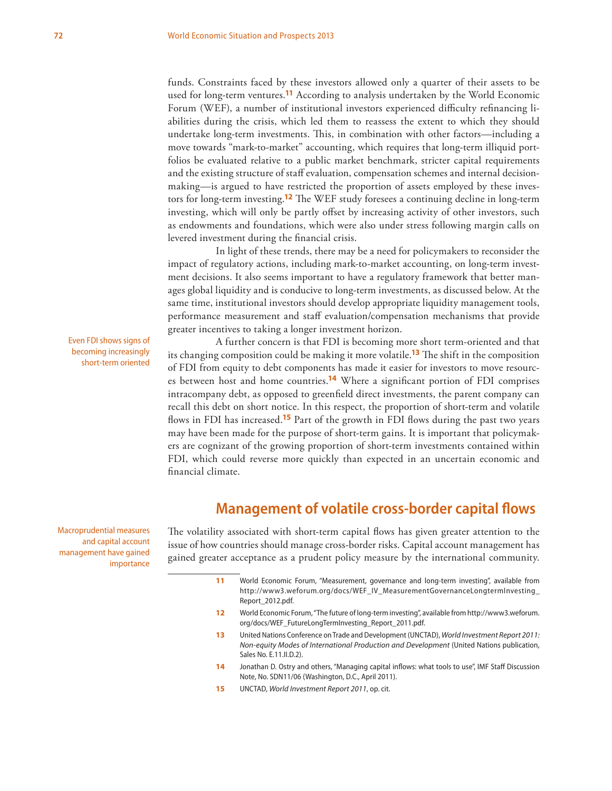funds. Constraints faced by these investors allowed only a quarter of their assets to be used for long-term ventures.**11** According to analysis undertaken by the World Economic Forum (WEF), a number of institutional investors experienced difficulty refinancing liabilities during the crisis, which led them to reassess the extent to which they should undertake long-term investments. This, in combination with other factors—including a move towards "mark-to-market" accounting, which requires that long-term illiquid portfolios be evaluated relative to a public market benchmark, stricter capital requirements and the existing structure of staff evaluation, compensation schemes and internal decisionmaking—is argued to have restricted the proportion of assets employed by these investors for long-term investing.**12** The WEF study foresees a continuing decline in long-term investing, which will only be partly offset by increasing activity of other investors, such as endowments and foundations, which were also under stress following margin calls on levered investment during the financial crisis.

In light of these trends, there may be a need for policymakers to reconsider the impact of regulatory actions, including mark-to-market accounting, on long-term investment decisions. It also seems important to have a regulatory framework that better manages global liquidity and is conducive to long-term investments, as discussed below. At the same time, institutional investors should develop appropriate liquidity management tools, performance measurement and staff evaluation/compensation mechanisms that provide greater incentives to taking a longer investment horizon.

Even FDI shows signs of becoming increasingly short-term oriented

A further concern is that FDI is becoming more short term-oriented and that its changing composition could be making it more volatile.**13** The shift in the composition of FDI from equity to debt components has made it easier for investors to move resources between host and home countries.**14** Where a significant portion of FDI comprises intracompany debt, as opposed to greenfield direct investments, the parent company can recall this debt on short notice. In this respect, the proportion of short-term and volatile flows in FDI has increased.**15** Part of the growth in FDI flows during the past two years may have been made for the purpose of short-term gains. It is important that policymakers are cognizant of the growing proportion of short-term investments contained within FDI, which could reverse more quickly than expected in an uncertain economic and financial climate.

# **Management of volatile cross-border capital flows**

The volatility associated with short-term capital flows has given greater attention to the issue of how countries should manage cross-border risks. Capital account management has gained greater acceptance as a prudent policy measure by the international community.

- **11** World Economic Forum, "Measurement, governance and long-term investing", available from http://www3.weforum.org/docs/WEF\_IV\_MeasurementGovernanceLongtermInvesting\_ Report\_2012.pdf.
- **12** World Economic Forum, "The future of long-term investing", available from http://www3.weforum. org/docs/WEF\_FutureLongTermInvesting\_Report\_2011.pdf.
- **13** United Nations Conference on Trade and Development (UNCTAD), *World Investment Report 2011: Non-equity Modes of International Production and Development* (United Nations publication, Sales No. E.11.II.D.2).
- **14** Jonathan D. Ostry and others, "Managing capital inflows: what tools to use", IMF Staff Discussion Note, No. SDN11/06 (Washington, D.C., April 2011).
- **15** UNCTAD, *World Investment Report 2011*, op. cit.

Macroprudential measures and capital account management have gained importance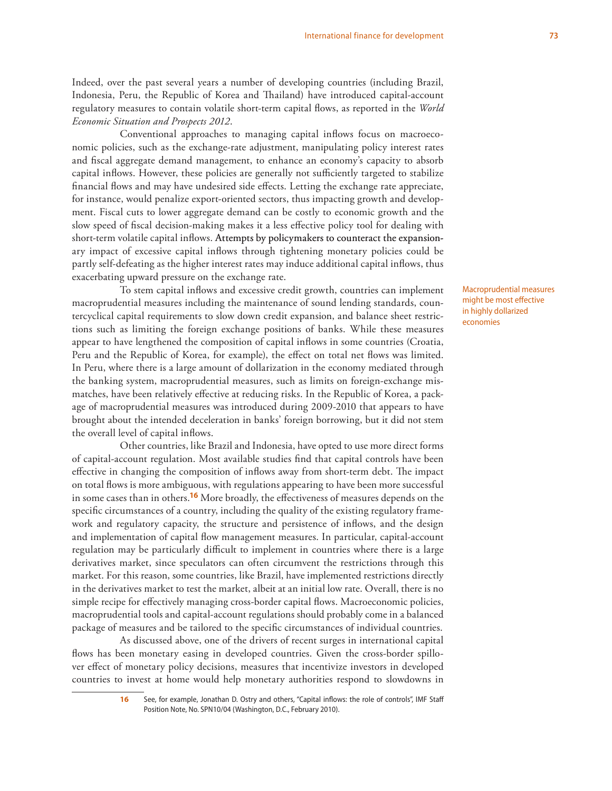Indeed, over the past several years a number of developing countries (including Brazil, Indonesia, Peru, the Republic of Korea and Thailand) have introduced capital-account regulatory measures to contain volatile short-term capital flows, as reported in the *World Economic Situation and Prospects 2012*.

Conventional approaches to managing capital inflows focus on macroeconomic policies, such as the exchange-rate adjustment, manipulating policy interest rates and fiscal aggregate demand management, to enhance an economy's capacity to absorb capital inflows. However, these policies are generally not sufficiently targeted to stabilize financial flows and may have undesired side effects. Letting the exchange rate appreciate, for instance, would penalize export-oriented sectors, thus impacting growth and development. Fiscal cuts to lower aggregate demand can be costly to economic growth and the slow speed of fiscal decision-making makes it a less effective policy tool for dealing with short-term volatile capital inflows. Attempts by policymakers to counteract the expansionary impact of excessive capital inflows through tightening monetary policies could be partly self-defeating as the higher interest rates may induce additional capital inflows, thus exacerbating upward pressure on the exchange rate.

To stem capital inflows and excessive credit growth, countries can implement macroprudential measures including the maintenance of sound lending standards, countercyclical capital requirements to slow down credit expansion, and balance sheet restrictions such as limiting the foreign exchange positions of banks. While these measures appear to have lengthened the composition of capital inflows in some countries (Croatia, Peru and the Republic of Korea, for example), the effect on total net flows was limited. In Peru, where there is a large amount of dollarization in the economy mediated through the banking system, macroprudential measures, such as limits on foreign-exchange mismatches, have been relatively effective at reducing risks. In the Republic of Korea, a package of macroprudential measures was introduced during 2009-2010 that appears to have brought about the intended deceleration in banks' foreign borrowing, but it did not stem the overall level of capital inflows.

Other countries, like Brazil and Indonesia, have opted to use more direct forms of capital-account regulation. Most available studies find that capital controls have been effective in changing the composition of inflows away from short-term debt. The impact on total flows is more ambiguous, with regulations appearing to have been more successful in some cases than in others.**16** More broadly, the effectiveness of measures depends on the specific circumstances of a country, including the quality of the existing regulatory framework and regulatory capacity, the structure and persistence of inflows, and the design and implementation of capital flow management measures. In particular, capital-account regulation may be particularly difficult to implement in countries where there is a large derivatives market, since speculators can often circumvent the restrictions through this market. For this reason, some countries, like Brazil, have implemented restrictions directly in the derivatives market to test the market, albeit at an initial low rate. Overall, there is no simple recipe for effectively managing cross-border capital flows. Macroeconomic policies, macroprudential tools and capital-account regulations should probably come in a balanced package of measures and be tailored to the specific circumstances of individual countries.

As discussed above, one of the drivers of recent surges in international capital flows has been monetary easing in developed countries. Given the cross-border spillover effect of [monetary policy](http://www.repost.us/article-preview/#%21hash=0c5867999c6fc854f10bb07cc90b72d0) decisions, measures that incentivize investors in developed countries to invest at home would help monetary authorities respond to slowdowns in Macroprudential measures might be most effective in highly dollarized economies

**<sup>16</sup>** See, for example, Jonathan D. Ostry and others, "Capital inflows: the role of controls", IMF Staff Position Note, No. SPN10/04 (Washington, D.C., February 2010).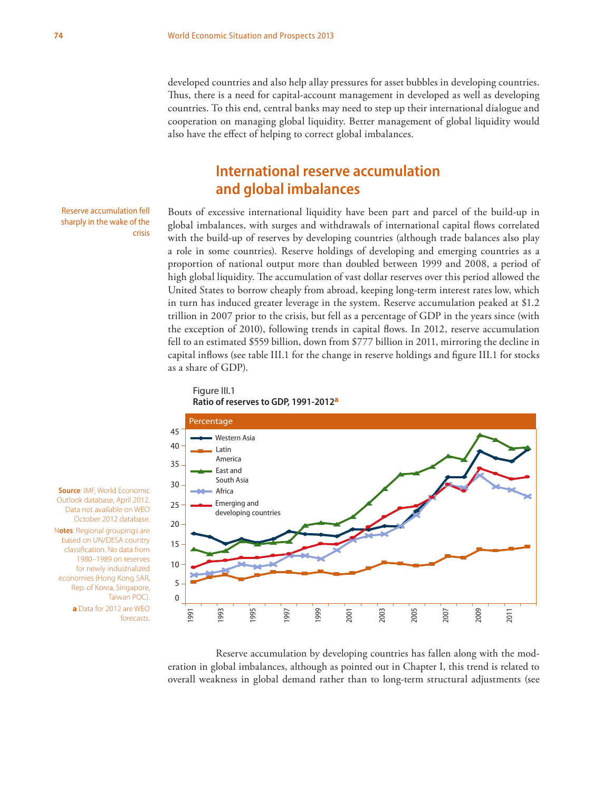developed countries and also help allay pressures for asset bubbles in developing countries. Thus, there is a need for capital-account management in developed as well as developing countries. To this end, central banks may need to step up their international dialogue and cooperation on managing global liquidity. Better management of global liquidity would also have the effect of helping to correct global imbalances.

# **International reserve accumulation and global imbalances**

Reserve accumulation fell sharply in the wake of the crisis

Bouts of excessive international liquidity have been part and parcel of the build-up in global imbalances, with surges and withdrawals of international capital flows correlated with the build-up of reserves by developing countries (although trade balances also play a role in some countries). Reserve holdings of developing and emerging countries as a proportion of national output more than doubled between 1999 and 2008, a period of high global liquidity. The accumulation of vast dollar reserves over this period allowed the United States to borrow cheaply from abroad, keeping long-term interest rates low, which in turn has induced greater leverage in the system. Reserve accumulation peaked at \$1.2 trillion in 2007 prior to the crisis, but fell as a percentage of GDP in the years since (with the exception of 2010), following trends in capital flows. In 2012, reserve accumulation fell to an estimated \$559 billion, down from \$777 billion in 2011, mirroring the decline in capital inflows (see table III.1 for the change in reserve holdings and figure III.1 for stocks as a share of GDP).

#### Figure III.1 **Ratio of reserves to GDP, 1991-2012<sup>a</sup>**



Reserve accumulation by developing countries has fallen along with the moderation in global imbalances, although as pointed out in Chapter I, this trend is related to overall weakness in global demand rather than to long-term structural adjustments (see

**Source**: IMF, World Economic Outlook database, April 2012. Data not available on WEO October 2012 database. N**otes**: Regional groupings are based on UN/DESA country classification. No data from 1980–1989 on reserves for newly industrialized economies (Hong Kong SAR, Rep. of Korea, Singapore, Taiwan POC). **a** Data for 2012 are WEO forecasts.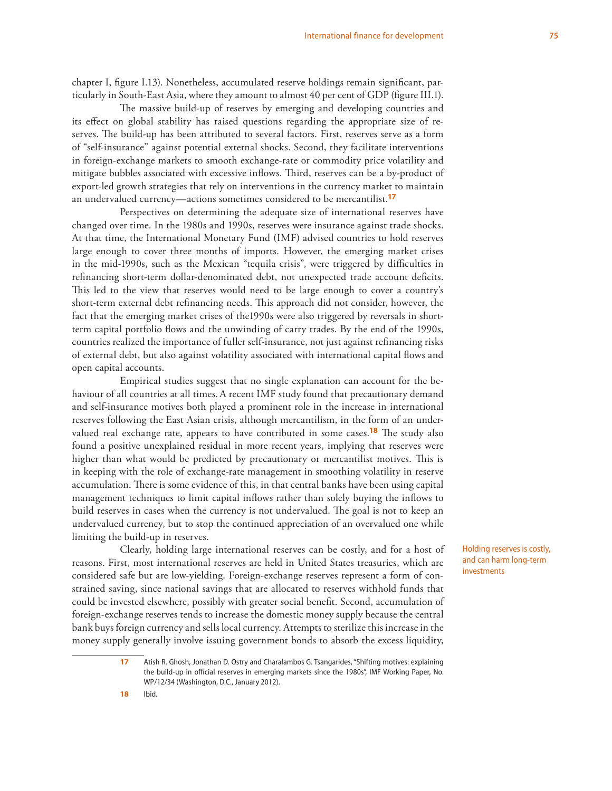chapter I, figure I.13). Nonetheless, accumulated reserve holdings remain significant, particularly in South-East Asia, where they amount to almost 40 per cent of GDP (figure III.1).

The massive build-up of reserves by emerging and developing countries and its effect on global stability has raised questions regarding the appropriate size of reserves. The build-up has been attributed to several factors. First, reserves serve as a form of "self-insurance" against potential external shocks. Second, they facilitate interventions in foreign-exchange markets to smooth exchange-rate or commodity price volatility and mitigate bubbles associated with excessive inflows. Third, reserves can be a by-product of export-led growth strategies that rely on interventions in the currency market to maintain an undervalued currency—actions sometimes considered to be mercantilist.**<sup>17</sup>**

Perspectives on determining the adequate size of international reserves have changed over time. In the 1980s and 1990s, reserves were insurance against trade shocks. At that time, the International Monetary Fund (IMF) advised countries to hold reserves large enough to cover three months of imports. However, the emerging market crises in the mid-1990s, such as the Mexican "tequila crisis", were triggered by difficulties in refinancing short-term dollar-denominated debt, not unexpected trade account deficits. This led to the view that reserves would need to be large enough to cover a country's short-term external debt refinancing needs. This approach did not consider, however, the fact that the emerging market crises of the1990s were also triggered by reversals in shortterm capital portfolio flows and the unwinding of carry trades. By the end of the 1990s, countries realized the importance of fuller self-insurance, not just against refinancing risks of external debt, but also against volatility associated with international capital flows and open capital accounts.

Empirical studies suggest that no single explanation can account for the behaviour of all countries at all times.A recent IMF study found that precautionary demand and self-insurance motives both played a prominent role in the increase in international reserves following the East Asian crisis, although mercantilism, in the form of an undervalued real exchange rate, appears to have contributed in some cases.**18** The study also found a positive unexplained residual in more recent years, implying that reserves were higher than what would be predicted by precautionary or mercantilist motives. This is in keeping with the role of exchange-rate management in smoothing volatility in reserve accumulation. There is some evidence of this, in that central banks have been using capital management techniques to limit capital inflows rather than solely buying the inflows to build reserves in cases when the currency is not undervalued. The goal is not to keep an undervalued currency, but to stop the continued appreciation of an overvalued one while limiting the build-up in reserves.

Clearly, holding large international reserves can be costly, and for a host of reasons. First, most international reserves are held in United States treasuries, which are considered safe but are low-yielding. Foreign-exchange reserves represent a form of constrained saving, since national savings that are allocated to reserves withhold funds that could be invested elsewhere, possibly with greater social benefit. Second, accumulation of foreign-exchange reserves tends to increase the domestic money supply because the central bank buys foreign currency and sells local currency. Attempts to sterilize this increase in the money supply generally involve issuing government bonds to absorb the excess liquidity,

Holding reserves is costly, and can harm long-term investments

**<sup>17</sup>** Atish R. Ghosh, Jonathan D. Ostry and Charalambos G. Tsangarides, "Shifting motives: explaining the build-up in official reserves in emerging markets since the 1980s", IMF Working Paper, No. WP/12/34 (Washington, D.C., January 2012).

**<sup>18</sup>** Ibid.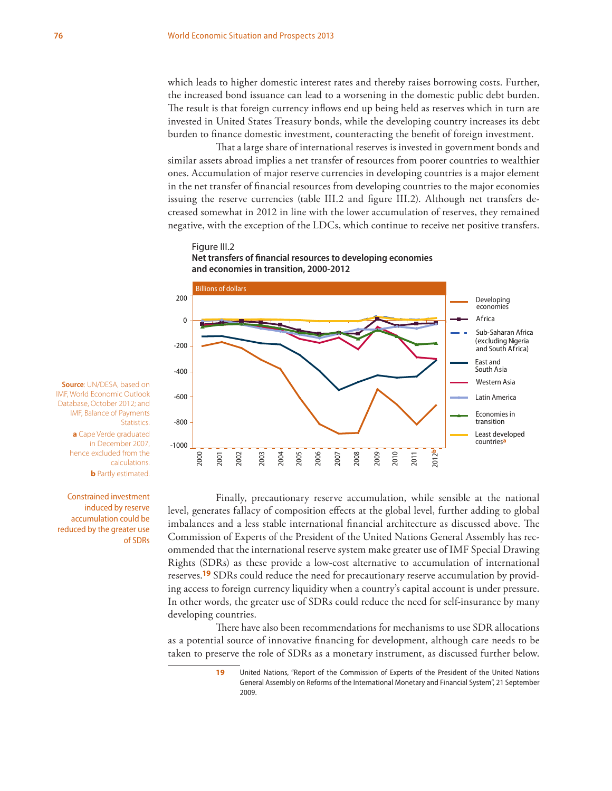which leads to higher domestic interest rates and thereby raises borrowing costs. Further, the increased bond issuance can lead to a worsening in the domestic public debt burden. The result is that foreign currency inflows end up being held as reserves which in turn are invested in United States Treasury bonds, while the developing country increases its debt burden to finance domestic investment, counteracting the benefit of foreign investment.

That a large share of international reserves is invested in government bonds and similar assets abroad implies a net transfer of resources from poorer countries to wealthier ones. Accumulation of major reserve currencies in developing countries is a major element in the net transfer of financial resources from developing countries to the major economies issuing the reserve currencies (table III.2 and figure III.2). Although net transfers decreased somewhat in 2012 in line with the lower accumulation of reserves, they remained negative, with the exception of the LDCs, which continue to receive net positive transfers.





Finally, precautionary reserve accumulation, while sensible at the national level, generates fallacy of composition effects at the global level, further adding to global imbalances and a less stable international financial architecture as discussed above. The Commission of Experts of the President of the United Nations General Assembly has recommended that the international reserve system make greater use of IMF Special Drawing Rights (SDRs) as these provide a low-cost alternative to accumulation of international reserves.**19** SDRs could reduce the need for precautionary reserve accumulation by providing access to foreign currency liquidity when a country's capital account is under pressure. In other words, the greater use of SDRs could reduce the need for self-insurance by many developing countries.

There have also been recommendations for mechanisms to use SDR allocations as a potential source of innovative financing for development, although care needs to be taken to preserve the role of SDRs as a monetary instrument, as discussed further below.

**19** United Nations, "Report of the Commission of Experts of the President of the United Nations General Assembly on Reforms of the International Monetary and Financial System", 21 September 2009.

**Source**: UN/DESA, based on IMF, World Economic Outlook Database, October 2012; and IMF, Balance of Payments Statistics.

> **a** Cape Verde graduated in December 2007, hence excluded from the calculations. **b** Partly estimated.

Constrained investment induced by reserve accumulation could be reduced by the greater use of SDRs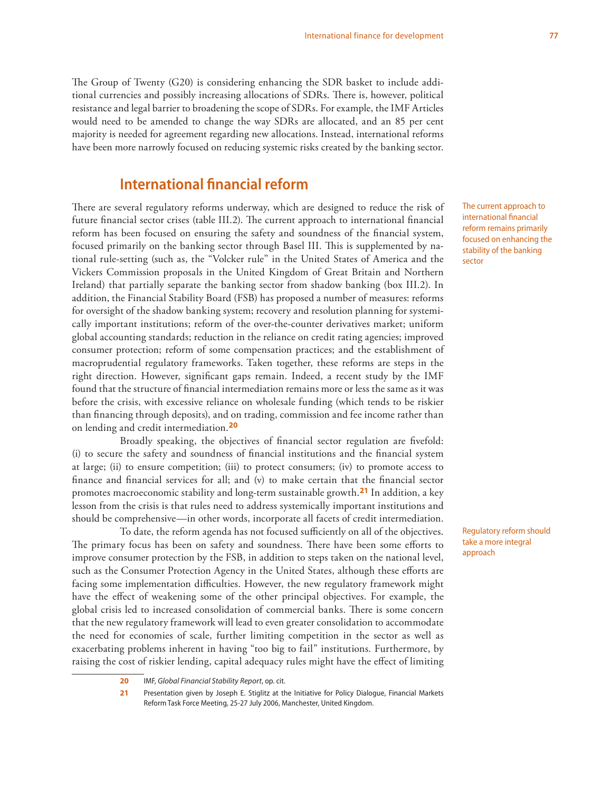The Group of Twenty (G20) is considering enhancing the SDR basket to include additional currencies and possibly increasing allocations of SDRs. There is, however, political resistance and legal barrier to broadening the scope of SDRs. For example, the IMF Articles would need to be amended to change the way SDRs are allocated, and an 85 per cent majority is needed for agreement regarding new allocations. Instead, international reforms have been more narrowly focused on reducing systemic risks created by the banking sector.

# **International financial reform**

There are several regulatory reforms underway, which are designed to reduce the risk of future financial sector crises (table III.2). The current approach to international financial reform has been focused on ensuring the safety and soundness of the financial system, focused primarily on the banking sector through Basel III. This is supplemented by national rule-setting (such as, the "Volcker rule" in the United States of America and the Vickers Commission proposals in the United Kingdom of Great Britain and Northern Ireland) that partially separate the banking sector from shadow banking (box III.2). In addition, the Financial Stability Board (FSB) has proposed a number of measures: reforms for oversight of the shadow banking system; recovery and resolution planning for systemically important institutions; reform of the over-the-counter derivatives market; uniform global accounting standards; reduction in the reliance on credit rating agencies; improved consumer protection; reform of some compensation practices; and the establishment of macroprudential regulatory frameworks. Taken together, these reforms are steps in the right direction. However, significant gaps remain. Indeed, a recent study by the IMF found that the structure of financial intermediation remains more or less the same as it was before the crisis, with excessive reliance on wholesale funding (which tends to be riskier than financing through deposits), and on trading, commission and fee income rather than on lending and credit intermediation.**<sup>20</sup>**

Broadly speaking, the objectives of financial sector regulation are fivefold: (i) to secure the safety and soundness of financial institutions and the financial system at large; (ii) to ensure competition; (iii) to protect consumers; (iv) to promote access to finance and financial services for all; and (v) to make certain that the financial sector promotes macroeconomic stability and long-term sustainable growth.**21** In addition, a key lesson from the crisis is that rules need to address systemically important institutions and should be comprehensive—in other words, incorporate all facets of credit intermediation.

To date, the reform agenda has not focused sufficiently on all of the objectives. The primary focus has been on safety and soundness. There have been some efforts to improve consumer protection by the FSB, in addition to steps taken on the national level, such as the Consumer Protection Agency in the United States, although these efforts are facing some implementation difficulties. However, the new regulatory framework might have the effect of weakening some of the other principal objectives. For example, the global crisis led to increased consolidation of commercial banks. There is some concern that the new regulatory framework will lead to even greater consolidation to accommodate the need for economies of scale, further limiting competition in the sector as well as exacerbating problems inherent in having "too big to fail" institutions. Furthermore, by raising the cost of riskier lending, capital adequacy rules might have the effect of limiting The current approach to international financial reform remains primarily focused on enhancing the stability of the banking sector

Regulatory reform should take a more integral approach

**<sup>20</sup>** IMF, *Global Financial Stability Report*, op. cit.

**<sup>21</sup>** Presentation given by Joseph E. Stiglitz at the Initiative for Policy Dialogue, Financial Markets Reform Task Force Meeting, 25-27 July 2006, Manchester, United Kingdom.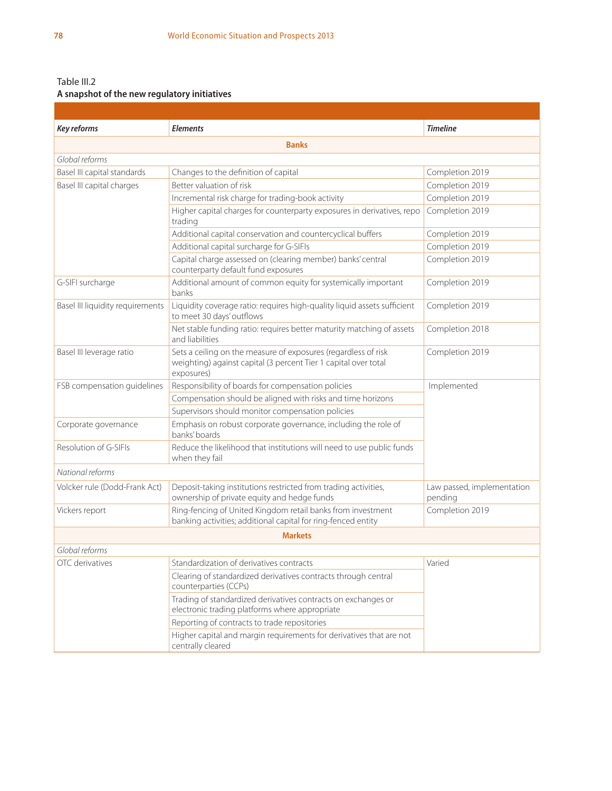#### Table III.2 **A snapshot of the new regulatory initiatives**

| Key reforms                      | <b>Elements</b>                                                                                                                                 | <b>Timeline</b>                       |  |  |  |  |
|----------------------------------|-------------------------------------------------------------------------------------------------------------------------------------------------|---------------------------------------|--|--|--|--|
| <b>Banks</b>                     |                                                                                                                                                 |                                       |  |  |  |  |
| Global reforms                   |                                                                                                                                                 |                                       |  |  |  |  |
| Basel III capital standards      | Changes to the definition of capital                                                                                                            | Completion 2019                       |  |  |  |  |
| Basel III capital charges        | Better valuation of risk                                                                                                                        | Completion 2019                       |  |  |  |  |
|                                  | Incremental risk charge for trading-book activity                                                                                               | Completion 2019                       |  |  |  |  |
|                                  | Higher capital charges for counterparty exposures in derivatives, repo<br>trading                                                               | Completion 2019                       |  |  |  |  |
|                                  | Additional capital conservation and countercyclical buffers                                                                                     | Completion 2019                       |  |  |  |  |
|                                  | Additional capital surcharge for G-SIFIs                                                                                                        | Completion 2019                       |  |  |  |  |
|                                  | Capital charge assessed on (clearing member) banks' central<br>counterparty default fund exposures                                              | Completion 2019                       |  |  |  |  |
| G-SIFI surcharge                 | Additional amount of common equity for systemically important<br>banks                                                                          | Completion 2019                       |  |  |  |  |
| Basel III liquidity requirements | Liquidity coverage ratio: requires high-quality liquid assets sufficient<br>to meet 30 days' outflows                                           | Completion 2019                       |  |  |  |  |
|                                  | Net stable funding ratio: requires better maturity matching of assets<br>and liabilities                                                        | Completion 2018                       |  |  |  |  |
| Basel III leverage ratio         | Sets a ceiling on the measure of exposures (regardless of risk<br>weighting) against capital (3 percent Tier 1 capital over total<br>exposures) | Completion 2019                       |  |  |  |  |
| FSB compensation quidelines      | Responsibility of boards for compensation policies                                                                                              | Implemented                           |  |  |  |  |
|                                  | Compensation should be aligned with risks and time horizons                                                                                     |                                       |  |  |  |  |
|                                  | Supervisors should monitor compensation policies                                                                                                |                                       |  |  |  |  |
| Corporate governance             | Emphasis on robust corporate governance, including the role of<br>banks' boards                                                                 |                                       |  |  |  |  |
| Resolution of G-SIFIs            | Reduce the likelihood that institutions will need to use public funds<br>when they fail                                                         |                                       |  |  |  |  |
| National reforms                 |                                                                                                                                                 |                                       |  |  |  |  |
| Volcker rule (Dodd-Frank Act)    | Deposit-taking institutions restricted from trading activities,<br>ownership of private equity and hedge funds                                  | Law passed, implementation<br>pending |  |  |  |  |
| Vickers report                   | Ring-fencing of United Kingdom retail banks from investment<br>banking activities; additional capital for ring-fenced entity                    | Completion 2019                       |  |  |  |  |
| <b>Markets</b>                   |                                                                                                                                                 |                                       |  |  |  |  |
| Global reforms                   |                                                                                                                                                 |                                       |  |  |  |  |
| OTC derivatives                  | Standardization of derivatives contracts                                                                                                        | Varied                                |  |  |  |  |
|                                  | Clearing of standardized derivatives contracts through central<br>counterparties (CCPs)                                                         |                                       |  |  |  |  |
|                                  | Trading of standardized derivatives contracts on exchanges or<br>electronic trading platforms where appropriate                                 |                                       |  |  |  |  |
|                                  | Reporting of contracts to trade repositories                                                                                                    |                                       |  |  |  |  |
|                                  | Higher capital and margin requirements for derivatives that are not<br>centrally cleared                                                        |                                       |  |  |  |  |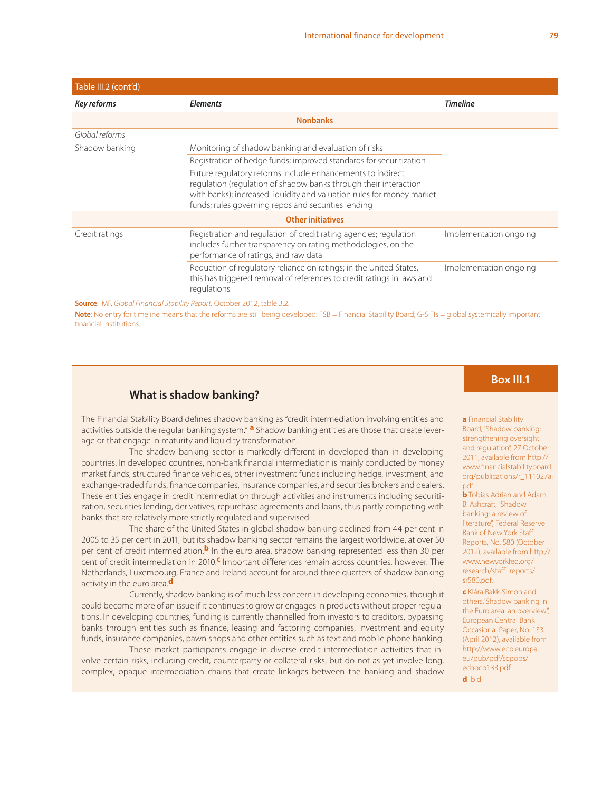| Table III.2 (cont'd)     |                                                                                                                                                                                                                                                                |                        |  |  |  |
|--------------------------|----------------------------------------------------------------------------------------------------------------------------------------------------------------------------------------------------------------------------------------------------------------|------------------------|--|--|--|
| <b>Key reforms</b>       | <b>Elements</b>                                                                                                                                                                                                                                                | <b>Timeline</b>        |  |  |  |
| <b>Nonbanks</b>          |                                                                                                                                                                                                                                                                |                        |  |  |  |
| Global reforms           |                                                                                                                                                                                                                                                                |                        |  |  |  |
| Shadow banking           | Monitoring of shadow banking and evaluation of risks                                                                                                                                                                                                           |                        |  |  |  |
|                          | Registration of hedge funds; improved standards for securitization                                                                                                                                                                                             |                        |  |  |  |
|                          | Future regulatory reforms include enhancements to indirect<br>regulation (regulation of shadow banks through their interaction<br>with banks); increased liquidity and valuation rules for money market<br>funds; rules governing repos and securities lending |                        |  |  |  |
| <b>Other initiatives</b> |                                                                                                                                                                                                                                                                |                        |  |  |  |
| Credit ratings           | Registration and regulation of credit rating agencies; regulation<br>includes further transparency on rating methodologies, on the<br>performance of ratings, and raw data                                                                                     | Implementation ongoing |  |  |  |
|                          | Reduction of regulatory reliance on ratings; in the United States,<br>this has triggered removal of references to credit ratings in laws and<br>regulations                                                                                                    | Implementation ongoing |  |  |  |

**Source**: IMF, *Global Financial Stability Report,* October 2012, table 3.2.

**Note**: No entry for timeline means that the reforms are still being developed. FSB = Financial Stability Board; G-SIFIs = global systemically important financial institutions.

### **What is shadow banking?**

The Financial Stability Board defines shadow banking as "credit intermediation involving entities and activities outside the regular banking system." **a** Shadow banking entities are those that create leverage or that engage in maturity and liquidity transformation.

The shadow banking sector is markedly different in developed than in developing countries. In developed countries, non-bank financial intermediation is mainly conducted by money market funds, structured finance vehicles, other investment funds including hedge, investment, and exchange-traded funds, finance companies, insurance companies, and securities brokers and dealers. These entities engage in credit intermediation through activities and instruments including securitization, securities lending, derivatives, repurchase agreements and loans, thus partly competing with banks that are relatively more strictly regulated and supervised.

The share of the United States in global shadow banking declined from 44 per cent in 2005 to 35 per cent in 2011, but its shadow banking sector remains the largest worldwide, at over 50 per cent of credit intermediation.**b** In the euro area, shadow banking represented less than 30 per cent of credit intermediation in 2010.**c** Important differences remain across countries, however. The Netherlands, Luxembourg, France and Ireland account for around three quarters of shadow banking activity in the euro area.**d**

Currently, shadow banking is of much less concern in developing economies, though it could become more of an issue if it continues to grow or engages in products without proper regulations. In developing countries, funding is currently channelled from investors to creditors, bypassing banks through entities such as finance, leasing and factoring companies, investment and equity funds, insurance companies, pawn shops and other entities such as text and mobile phone banking.

These market participants engage in diverse credit intermediation activities that involve certain risks, including credit, counterparty or collateral risks, but do not as yet involve long, complex, opaque intermediation chains that create linkages between the banking and shadow

# **Box III.1**

**a** Financial Stability Board, "Shadow banking: strengthening oversight and regulation", 27 October 2011, available from http:// www.financialstabilityboard. org/publications/r\_111027a. pdf.

**b** Tobias Adrian and Adam B. Ashcraft, "Shadow banking: a review of literature", Federal Reserve Bank of New York Staff Reports, No. 580 (October 2012), available from http:// www.newyorkfed.org/ research/staff\_reports/ sr580.pdf.

**c** Klára Bakk-Simon and others,"Shadow banking in the Euro area: an overview", European Central Bank Occasional Paper, No. 133 (April 2012), available from http://www.ecb.europa. eu/pub/pdf/scpops/ ecbocp133.pdf.

**d** Ibid.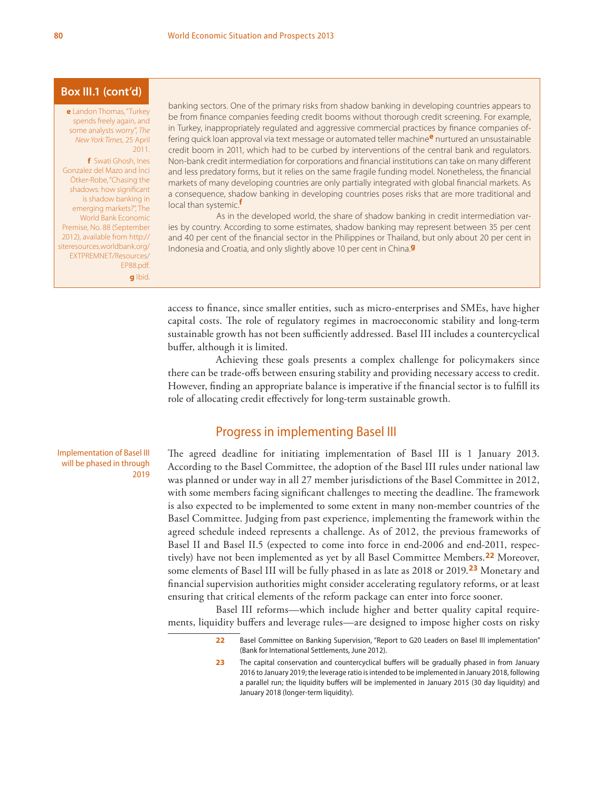#### **Box III.1 (cont'd)**

**e** Landon Thomas, "Turkey spends freely again, and some analysts worry", *The New York Times*, 25 April 2011.

**f** Swati Ghosh, Ines Gonzalez del Mazo and İnci Ötker-Robe, "Chasing the shadows: how significant is shadow banking in emerging markets?", The World Bank Economic Premise, No. 88 (September 2012), available from http:// siteresources.worldbank.org/ EXTPREMNET/Resources/ EP88.pdf. **g** Ibid.

banking sectors. One of the primary risks from shadow banking in developing countries appears to be from finance companies feeding credit booms without thorough credit screening. For example, in Turkey, inappropriately regulated and aggressive commercial practices by finance companies offering quick loan approval via text message or automated teller machine**e** nurtured an unsustainable credit boom in 2011, which had to be curbed by interventions of the central bank and regulators. Non-bank credit intermediation for corporations and financial institutions can take on many different and less predatory forms, but it relies on the same fragile funding model. Nonetheless, the financial markets of many developing countries are only partially integrated with global financial markets. As a consequence, shadow banking in developing countries poses risks that are more traditional and local than systemic.**f**

As in the developed world, the share of shadow banking in credit intermediation varies by country. According to some estimates, shadow banking may represent between 35 per cent and 40 per cent of the financial sector in the Philippines or Thailand, but only about 20 per cent in Indonesia and Croatia, and only slightly above 10 per cent in China.**g**

access to finance, since smaller entities, such as micro-enterprises and SMEs, have higher capital costs. The role of regulatory regimes in macroeconomic stability and long-term sustainable growth has not been sufficiently addressed. Basel III includes a countercyclical buffer, although it is limited.

Achieving these goals presents a complex challenge for policymakers since there can be trade-offs between ensuring stability and providing necessary access to credit. However, finding an appropriate balance is imperative if the financial sector is to fulfill its role of allocating credit effectively for long-term sustainable growth.

### Progress in implementing Basel III

The agreed deadline for initiating implementation of Basel III is 1 January 2013. According to the Basel Committee, the adoption of the Basel III rules under national law was planned or under way in all 27 member jurisdictions of the Basel Committee in 2012, with some members facing significant challenges to meeting the deadline. The framework is also expected to be implemented to some extent in many non-member countries of the Basel Committee. Judging from past experience, implementing the framework within the agreed schedule indeed represents a challenge. As of 2012, the previous frameworks of Basel II and Basel II.5 (expected to come into force in end-2006 and end-2011, respectively) have not been implemented as yet by all Basel Committee Members.**22** Moreover, some elements of Basel III will be fully phased in as late as 2018 or 2019.**23** Monetary and financial supervision authorities might consider accelerating regulatory reforms, or at least ensuring that critical elements of the reform package can enter into force sooner.

Basel III reforms—which include higher and better quality capital requirements, liquidity buffers and leverage rules—are designed to impose higher costs on risky

- **22** Basel Committee on Banking Supervision, "Report to G20 Leaders on Basel III implementation" (Bank for International Settlements, June 2012).
- 23 The capital conservation and countercyclical buffers will be gradually phased in from January 2016 to January 2019; the leverage ratio is intended to be implemented in January 2018, following a parallel run; the liquidity buffers will be implemented in January 2015 (30 day liquidity) and January 2018 (longer-term liquidity).

Implementation of Basel III will be phased in through 2019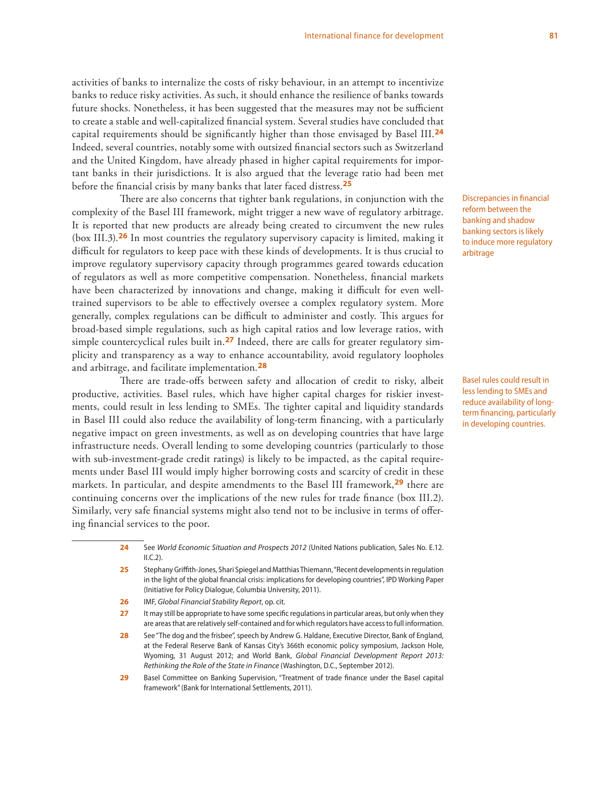activities of banks to internalize the costs of risky behaviour, in an attempt to incentivize banks to reduce risky activities. As such, it should enhance the resilience of banks towards future shocks. Nonetheless, it has been suggested that the measures may not be sufficient to create a stable and well-capitalized financial system. Several studies have concluded that capital requirements should be significantly higher than those envisaged by Basel III.**<sup>24</sup>** Indeed, several countries, notably some with outsized financial sectors such as Switzerland and the United Kingdom, have already phased in higher capital requirements for important banks in their jurisdictions. It is also argued that the leverage ratio had been met before the financial crisis by many banks that later faced distress.**<sup>25</sup>**

There are also concerns that tighter bank regulations, in conjunction with the complexity of the Basel III framework, might trigger a new wave of regulatory arbitrage. It is reported that new products are already being created to circumvent the new rules (box III.3).**26** In most countries the regulatory supervisory capacity is limited, making it difficult for regulators to keep pace with these kinds of developments. It is thus crucial to improve regulatory supervisory capacity through programmes geared towards education of regulators as well as more competitive compensation. Nonetheless, financial markets have been characterized by innovations and change, making it difficult for even welltrained supervisors to be able to effectively oversee a complex regulatory system. More generally, complex regulations can be difficult to administer and costly. This argues for broad-based simple regulations, such as high capital ratios and low leverage ratios, with simple countercyclical rules built in.**27** Indeed, there are calls for greater regulatory simplicity and transparency as a way to enhance accountability, avoid regulatory loopholes and arbitrage, and facilitate implementation.**<sup>28</sup>**

There are trade-offs between safety and allocation of credit to risky, albeit productive, activities. Basel rules, which have higher capital charges for riskier investments, could result in less lending to SMEs. The tighter capital and liquidity standards in Basel III could also reduce the availability of long-term financing, with a particularly negative impact on green investments, as well as on developing countries that have large infrastructure needs. Overall lending to some developing countries (particularly to those with sub-investment-grade credit ratings) is likely to be impacted, as the capital requirements under Basel III would imply higher borrowing costs and scarcity of credit in these markets. In particular, and despite amendments to the Basel III framework,**29** there are continuing concerns over the implications of the new rules for trade finance (box III.2). Similarly, very safe financial systems might also tend not to be inclusive in terms of offering financial services to the poor.

- **25** Stephany Griffith-Jones, Shari Spiegel and Matthias Thiemann, "Recent developments in regulation in the light of the global financial crisis: implications for developing countries", IPD Working Paper (Initiative for Policy Dialogue, Columbia University, 2011).
- **26** IMF, *Global Financial Stability Report*, op. cit.
- **27** It may still be appropriate to have some specific regulations in particular areas, but only when they are areas that are relatively self-contained and for which regulators have access to full information.
- **28** See "The dog and the frisbee", speech by Andrew G. Haldane, Executive Director, Bank of England, at the Federal Reserve Bank of Kansas City's 366th economic policy symposium, Jackson Hole, Wyoming, 31 August 2012; and World Bank, *Global Financial Development Report 2013: Rethinking the Role of the State in Finance* (Washington, D.C., September 2012).
- **29** Basel Committee on Banking Supervision, "Treatment of trade finance under the Basel capital framework" (Bank for International Settlements, 2011).

Discrepancies in financial reform between the banking and shadow banking sectors is likely to induce more regulatory arbitrage

Basel rules could result in less lending to SMEs and reduce availability of longterm financing, particularly in developing countries.

**<sup>24</sup>** See *World Economic Situation and Prospects 2012* (United Nations publication, Sales No. E.12.  $ILC.2$ ).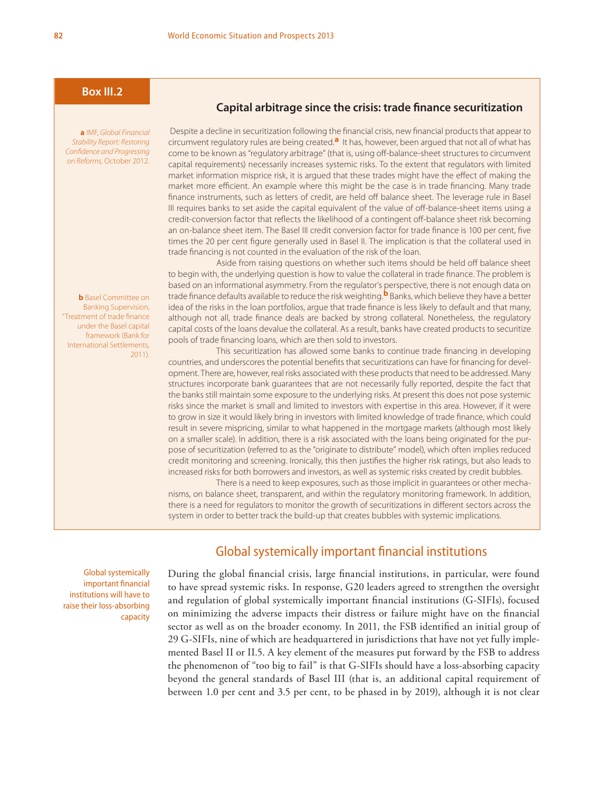# **Box III.2**

**a** IMF, *Global Financial Stability Report: Restoring Confidence and Progressing on Reforms,* October 2012.

**b** Basel Committee on Banking Supervision, "Treatment of trade finance under the Basel capital framework (Bank for International Settlements, 2011).

#### **Capital arbitrage since the crisis: trade finance securitization**

 Despite a decline in securitization following the financial crisis, new financial products that appear to circumvent regulatory rules are being created.**a** It has, however, been argued that not all of what has come to be known as "regulatory arbitrage" (that is, using off-balance-sheet structures to circumvent capital requirements) necessarily increases systemic risks. To the extent that regulators with limited market information misprice risk, it is argued that these trades might have the effect of making the market more efficient. An example where this might be the case is in trade financing. Many trade finance instruments, such as letters of credit, are held off balance sheet. The leverage rule in Basel III requires banks to set aside the capital equivalent of the value of off-balance-sheet items using a credit-conversion factor that reflects the likelihood of a contingent off-balance sheet risk becoming an on-balance sheet item. The Basel III credit conversion factor for trade finance is 100 per cent, five times the 20 per cent figure generally used in Basel II. The implication is that the collateral used in trade financing is not counted in the evaluation of the risk of the loan.

Aside from raising questions on whether such items should be held off balance sheet to begin with, the underlying question is how to value the collateral in trade finance. The problem is based on an informational asymmetry. From the regulator's perspective, there is not enough data on trade finance defaults available to reduce the risk weighting.**b** Banks, which believe they have a better idea of the risks in the loan portfolios, argue that trade finance is less likely to default and that many, although not all, trade finance deals are backed by strong collateral. Nonetheless, the regulatory capital costs of the loans devalue the collateral. As a result, banks have created products to securitize pools of trade financing loans, which are then sold to investors.

This securitization has allowed some banks to continue trade financing in developing countries, and underscores the potential benefits that securitizations can have for financing for development. There are, however, real risks associated with these products that need to be addressed. Many structures incorporate bank guarantees that are not necessarily fully reported, despite the fact that the banks still maintain some exposure to the underlying risks. At present this does not pose systemic risks since the market is small and limited to investors with expertise in this area. However, if it were to grow in size it would likely bring in investors with limited knowledge of trade finance, which could result in severe mispricing, similar to what happened in the mortgage markets (although most likely on a smaller scale). In addition, there is a risk associated with the loans being originated for the purpose of securitization (referred to as the "originate to distribute" model), which often implies reduced credit monitoring and screening. Ironically, this then justifies the higher risk ratings, but also leads to increased risks for both borrowers and investors, as well as systemic risks created by credit bubbles.

There is a need to keep exposures, such as those implicit in guarantees or other mechanisms, on balance sheet, transparent, and within the regulatory monitoring framework. In addition, there is a need for regulators to monitor the growth of securitizations in different sectors across the system in order to better track the build-up that creates bubbles with systemic implications.

# Global systemically important financial institutions

During the global financial crisis, large financial institutions, in particular, were found to have spread systemic risks. In response, G20 leaders agreed to strengthen the oversight and regulation of global systemically important financial institutions (G-SIFIs), focused on minimizing the adverse impacts their distress or failure might have on the financial sector as well as on the broader economy. In 2011, the FSB identified an initial group of 29 G-SIFIs, nine of which are headquartered in jurisdictions that have not yet fully implemented Basel II or II.5. A key element of the measures put forward by the FSB to address the phenomenon of "too big to fail" is that G-SIFIs should have a loss-absorbing capacity beyond the general standards of Basel III (that is, an additional capital requirement of between 1.0 per cent and 3.5 per cent, to be phased in by 2019), although it is not clear

Global systemically important financial institutions will have to raise their loss-absorbing capacity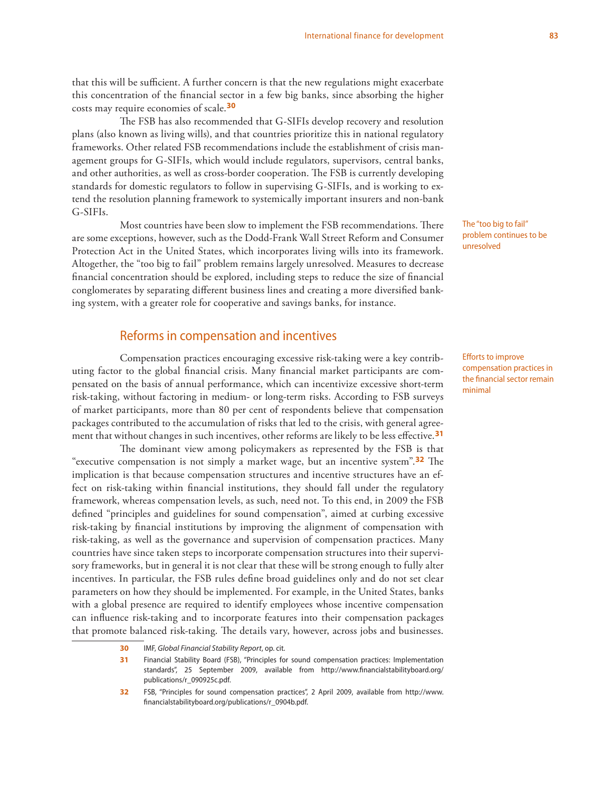### that this will be sufficient. A further concern is that the new regulations might exacerbate this concentration of the financial sector in a few big banks, since absorbing the higher costs may require economies of scale. **30**

The FSB has also recommended that G-SIFIs develop recovery and resolution plans (also known as living wills), and that countries prioritize this in national regulatory frameworks. Other related FSB recommendations include the establishment of crisis management groups for G-SIFIs, which would include regulators, supervisors, central banks, and other authorities, as well as cross-border cooperation. The FSB is currently developing standards for domestic regulators to follow in supervising G-SIFIs, and is working to extend the resolution planning framework to systemically important insurers and non-bank G-SIFIs.

Most countries have been slow to implement the FSB recommendations. There are some exceptions, however, such as the Dodd-Frank Wall Street Reform and Consumer Protection Act in the United States, which incorporates living wills into its framework. Altogether, the "too big to fail" problem remains largely unresolved. Measures to decrease financial concentration should be explored, including steps to reduce the size of financial conglomerates by separating different business lines and creating a more diversified banking system, with a greater role for cooperative and savings banks, for instance.

# Reforms in compensation and incentives

Compensation practices encouraging excessive risk-taking were a key contributing factor to the global financial crisis. Many financial market participants are compensated on the basis of annual performance, which can incentivize excessive short-term risk-taking, without factoring in medium- or long-term risks. According to FSB surveys of market participants, more than 80 per cent of respondents believe that compensation packages contributed to the accumulation of risks that led to the crisis, with general agreement that without changes in such incentives, other reforms are likely to be less effective.**<sup>31</sup>**

The dominant view among policymakers as represented by the FSB is that "executive compensation is not simply a market wage, but an incentive system".**32** The implication is that because compensation structures and incentive structures have an effect on risk-taking within financial institutions, they should fall under the regulatory framework, whereas compensation levels, as such, need not. To this end, in 2009 the FSB defined "principles and guidelines for sound compensation", aimed at curbing excessive risk-taking by financial institutions by improving the alignment of compensation with risk-taking, as well as the governance and supervision of compensation practices. Many countries have since taken steps to incorporate compensation structures into their supervisory frameworks, but in general it is not clear that these will be strong enough to fully alter incentives. In particular, the FSB rules define broad guidelines only and do not set clear parameters on how they should be implemented. For example, in the United States, banks with a global presence are required to identify employees whose incentive compensation can influence risk-taking and to incorporate features into their compensation packages that promote balanced risk-taking. The details vary, however, across jobs and businesses. The "too big to fail" problem continues to be unresolved

Efforts to improve compensation practices in the financial sector remain minimal

**<sup>30</sup>** IMF, *Global Financial Stability Report*, op. cit.

**<sup>31</sup>** Financial Stability Board (FSB), "Principles for sound compensation practices: Implementation standards", 25 September 2009, available from http://www.financialstabilityboard.org/ publications/r\_090925c.pdf.

**<sup>32</sup>** FSB, "Principles for sound compensation practices", 2 April 2009, available from http://www. financialstabilityboard.org/publications/r\_0904b.pdf.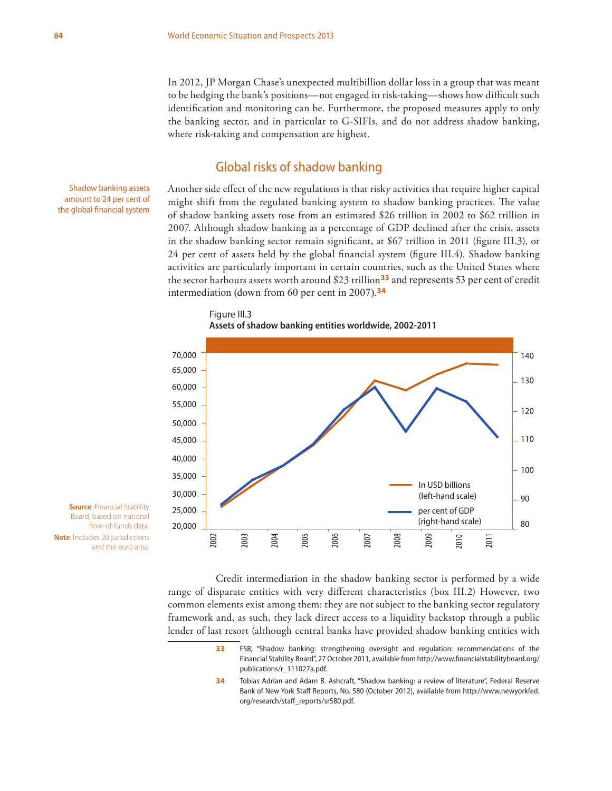In 2012, JP Morgan Chase's unexpected multibillion dollar loss in a group that was meant to be hedging the bank's positions—not engaged in risk-taking—shows how difficult such identification and monitoring can be. Furthermore, the proposed measures apply to only the banking sector, and in particular to G-SIFIs, and do not address shadow banking, where risk-taking and compensation are highest.

# Global risks of shadow banking

#### Shadow banking assets amount to 24 per cent of the global financial system

Another side effect of the new regulations is that risky activities that require higher capital might shift from the regulated banking system to shadow banking practices. The value of shadow banking assets rose from an estimated \$26 trillion in 2002 to \$62 trillion in 2007. Although shadow banking as a percentage of GDP declined after the crisis, assets in the shadow banking sector remain significant, at \$67 trillion in 2011 (figure III.3), or 24 per cent of assets held by the global financial system (figure III.4). Shadow banking activities are particularly important in certain countries, such as the United States where the sector harbours assets worth around \$23 trillion**33** and represents 53 per cent of credit intermediation (down from 60 per cent in 2007).**<sup>34</sup>**

Figure III.3 **Assets of shadow banking entities worldwide, 2002-2011**



**Source**: Financial Stability Board, based on national flow-of-funds data. **Note**: Includes 20 jurisdictions des 20 jurisdictions<br>and the euro area.

> Credit intermediation in the shadow banking sector is performed by a wide range of disparate entities with very different characteristics (box III.2) However, two common elements exist among them: they are not subject to the banking sector regulatory framework and, as such, they lack direct access to a liquidity backstop through a public lender of last resort (although central banks have provided shadow banking entities with

**<sup>33</sup>** FSB, "Shadow banking: strengthening oversight and regulation: recommendations of the Financial Stability Board", 27 October 2011, available from http://www.financialstabilityboard.org/ publications/r\_111027a.pdf.

**<sup>34</sup>** Tobias Adrian and Adam B. Ashcraft, "Shadow banking: a review of literature", Federal Reserve Bank of New York Staff Reports, No. 580 (October 2012), available from http://www.newyorkfed. org/research/staff\_reports/sr580.pdf.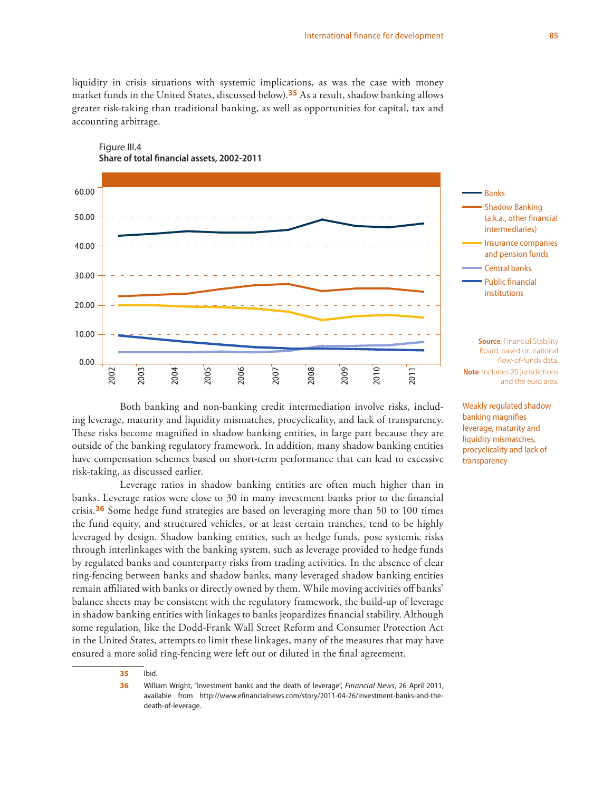liquidity in crisis situations with systemic implications, as was the case with money market funds in the United States, discussed below).**35** As a result, shadow banking allows greater risk-taking than traditional banking, as well as opportunities for capital, tax and accounting arbitrage.



Figure III.4 **Share of total financial assets, 2002-2011**

Both banking and non-banking credit intermediation involve risks, including leverage, maturity and liquidity mismatches, procyclicality, and lack of transparency. These risks become magnified in shadow banking entities, in large part because they are outside of the banking regulatory framework. In addition, many shadow banking entities have compensation schemes based on short-term performance that can lead to excessive risk-taking, as discussed earlier.

Leverage ratios in shadow banking entities are often much higher than in banks. Leverage ratios were close to 30 in many investment banks prior to the financial crisis.**36** Some hedge fund strategies are based on leveraging more than 50 to 100 times the fund equity, and structured vehicles, or at least certain tranches, tend to be highly leveraged by design. Shadow banking entities, such as hedge funds, pose systemic risks through interlinkages with the banking system, such as leverage provided to hedge funds by regulated banks and counterparty risks from trading activities. In the absence of clear ring-fencing between banks and shadow banks, many leveraged shadow banking entities remain affiliated with banks or directly owned by them. While moving activities off banks' balance sheets may be consistent with the regulatory framework, the build-up of leverage in shadow banking entities with linkages to banks jeopardizes financial stability. Although some regulation, like the Dodd-Frank Wall Street Reform and Consumer Protection Act in the United States, attempts to limit these linkages, many of the measures that may have ensured a more solid ring-fencing were left out or diluted in the final agreement.



transparency

**35** Ibid.

**<sup>36</sup>** William Wright, "Investment banks and the death of leverage", *Financial News*, 26 April 2011, available from http://www.efinancialnews.com/story/2011-04-26/investment-banks-and-thedeath-of-leverage.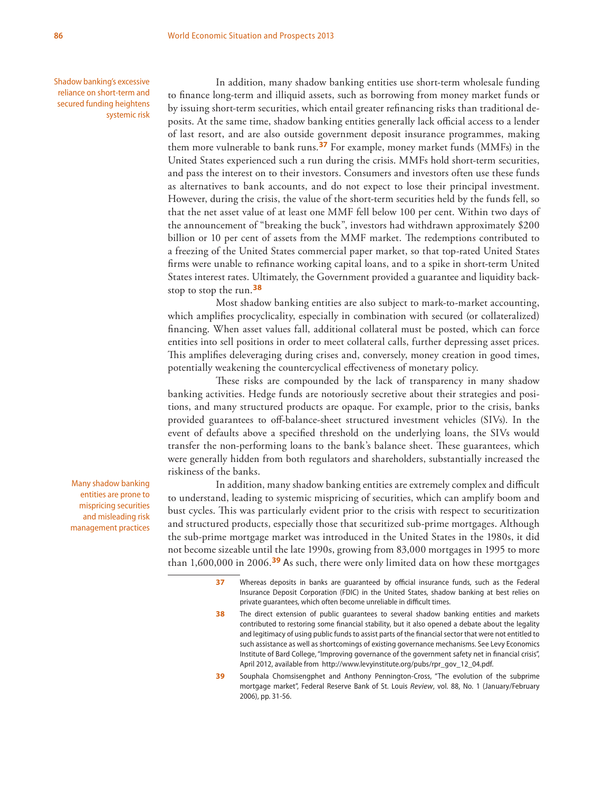Shadow banking's excessive reliance on short-term and secured funding heightens systemic risk

In addition, many shadow banking entities use short-term wholesale funding to finance long-term and illiquid assets, such as borrowing from money market funds or by issuing short-term securities, which entail greater refinancing risks than traditional deposits. At the same time, shadow banking entities generally lack official access to a lender of last resort, and are also outside government deposit insurance programmes, making them more vulnerable to bank runs.**37** For example, money market funds (MMFs) in the United States experienced such a run during the crisis. MMFs hold short-term securities, and pass the interest on to their investors. Consumers and investors often use these funds as alternatives to bank accounts, and do not expect to lose their principal investment. However, during the crisis, the value of the short-term securities held by the funds fell, so that the net asset value of at least one MMF fell below 100 per cent. Within two days of the announcement of "breaking the buck", investors had withdrawn approximately \$200 billion or 10 per cent of assets from the MMF market. The redemptions contributed to a freezing of the United States commercial paper market, so that top-rated United States firms were unable to refinance working capital loans, and to a spike in short-term United States interest rates. Ultimately, the Government provided a guarantee and liquidity backstop to stop the run.**<sup>38</sup>**

Most shadow banking entities are also subject to mark-to-market accounting, which amplifies procyclicality, especially in combination with secured (or collateralized) financing. When asset values fall, additional collateral must be posted, which can force entities into sell positions in order to meet collateral calls, further depressing asset prices. This amplifies deleveraging during crises and, conversely, money creation in good times, potentially weakening the countercyclical effectiveness of monetary policy.

These risks are compounded by the lack of transparency in many shadow banking activities. Hedge funds are notoriously secretive about their strategies and positions, and many structured products are opaque. For example, prior to the crisis, banks provided guarantees to off-balance-sheet structured investment vehicles (SIVs). In the event of defaults above a specified threshold on the underlying loans, the SIVs would transfer the non-performing loans to the bank's balance sheet. These guarantees, which were generally hidden from both regulators and shareholders, substantially increased the riskiness of the banks.

In addition, many shadow banking entities are extremely complex and difficult to understand, leading to systemic mispricing of securities, which can amplify boom and bust cycles. This was particularly evident prior to the crisis with respect to securitization and structured products, especially those that securitized sub-prime mortgages. Although the sub-prime mortgage market was introduced in the United States in the 1980s, it did not become sizeable until the late 1990s, growing from 83,000 mortgages in 1995 to more than 1,600,000 in 2006.**39** As such, there were only limited data on how these mortgages

- **37** Whereas deposits in banks are guaranteed by official insurance funds, such as the Federal Insurance Deposit Corporation (FDIC) in the United States, shadow banking at best relies on private guarantees, which often become unreliable in difficult times.
- **38** The direct extension of public guarantees to several shadow banking entities and markets contributed to restoring some financial stability, but it also opened a debate about the legality and legitimacy of using public funds to assist parts of the financial sector that were not entitled to such assistance as well as shortcomings of existing governance mechanisms. See Levy Economics Institute of Bard College, "Improving governance of the government safety net in financial crisis", April 2012, available from http://www.levyinstitute.org/pubs/rpr\_gov\_12\_04.pdf.
- **39** Souphala Chomsisengphet and Anthony Pennington-Cross, "The evolution of the subprime mortgage market", Federal Reserve Bank of St. Louis *Review*, vol. 88, No. 1 (January/February 2006), pp. 31-56.

Many shadow banking entities are prone to mispricing securities and misleading risk management practices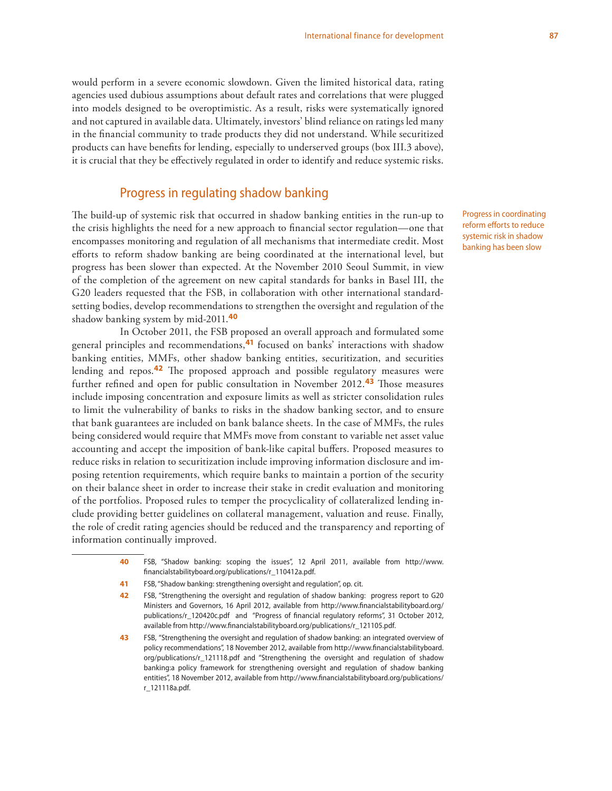would perform in a severe economic slowdown. Given the limited historical data, rating agencies used dubious assumptions about default rates and correlations that were plugged into models designed to be overoptimistic. As a result, risks were systematically ignored and not captured in available data. Ultimately, investors' blind reliance on ratings led many in the financial community to trade products they did not understand. While securitized products can have benefits for lending, especially to underserved groups (box III.3 above), it is crucial that they be effectively regulated in order to identify and reduce systemic risks.

# Progress in regulating shadow banking

The build-up of systemic risk that occurred in shadow banking entities in the run-up to the crisis highlights the need for a new approach to financial sector regulation—one that encompasses monitoring and regulation of all mechanisms that intermediate credit. Most efforts to reform shadow banking are being coordinated at the international level, but progress has been slower than expected. At the November 2010 Seoul Summit, in view of the completion of the agreement on new capital standards for banks in Basel III, the G20 leaders requested that the FSB, in collaboration with other international standardsetting bodies, develop recommendations to strengthen the oversight and regulation of the shadow banking system by mid-2011.**<sup>40</sup>**

In October 2011, the FSB proposed an overall approach and formulated some general principles and recommendations,**41** focused on banks' interactions with shadow banking entities, MMFs, other shadow banking entities, securitization, and securities lending and repos.**42** The proposed approach and possible regulatory measures were further refined and open for public consultation in November 2012.**43** Those measures include imposing concentration and exposure limits as well as stricter consolidation rules to limit the vulnerability of banks to risks in the shadow banking sector, and to ensure that bank guarantees are included on bank balance sheets. In the case of MMFs, the rules being considered would require that MMFs move from constant to variable net asset value accounting and accept the imposition of bank-like capital buffers. Proposed measures to reduce risks in relation to securitization include improving information disclosure and imposing retention requirements, which require banks to maintain a portion of the security on their balance sheet in order to increase their stake in credit evaluation and monitoring of the portfolios. Proposed rules to temper the procyclicality of collateralized lending include providing better guidelines on collateral management, valuation and reuse. Finally, the role of credit rating agencies should be reduced and the transparency and reporting of information continually improved.

- **40** FSB, "Shadow banking: scoping the issues", 12 April 2011, available from http://www. financialstabilityboard.org/publications/r\_110412a.pdf.
- **41** FSB, "Shadow banking: strengthening oversight and regulation", op. cit.
- **42** FSB, "Strengthening the oversight and regulation of shadow banking: progress report to G20 Ministers and Governors, 16 April 2012, available from http://www.financialstabilityboard.org/ publications/r\_120420c.pdf and "Progress of financial regulatory reforms", 31 October 2012, available from http://www.financialstabilityboard.org/publications/r\_121105.pdf.
- **43** FSB, "Strengthening the oversight and regulation of shadow banking: an integrated overview of policy recommendations", 18 November 2012, available from http://www.financialstabilityboard. org/publications/r\_121118.pdf and "Strengthening the oversight and regulation of shadow banking:a policy framework for strengthening oversight and regulation of shadow banking entities", 18 November 2012, available from http://www.financialstabilityboard.org/publications/ r\_121118a.pdf.

Progress in coordinating reform efforts to reduce systemic risk in shadow banking has been slow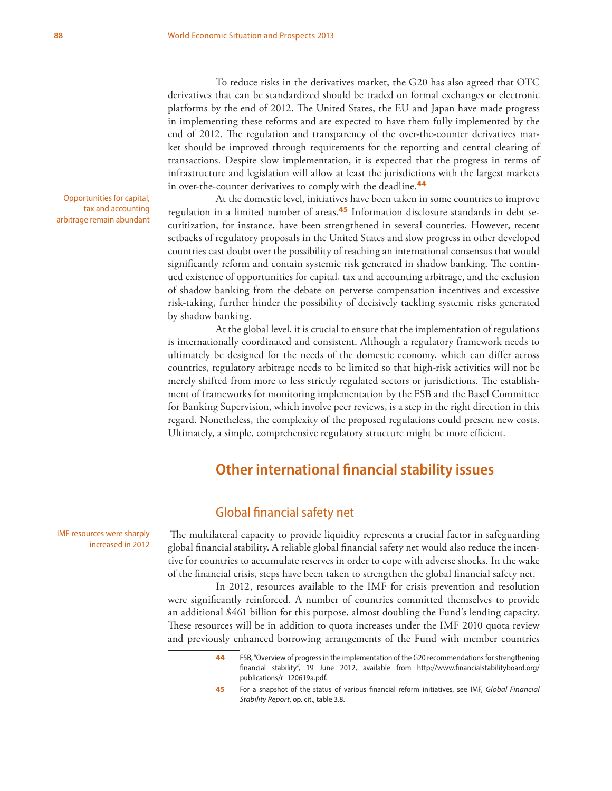To reduce risks in the derivatives market, the G20 has also agreed that OTC derivatives that can be standardized should be traded on formal exchanges or electronic platforms by the end of 2012. The United States, the EU and Japan have made progress in implementing these reforms and are expected to have them fully implemented by the end of 2012. The regulation and transparency of the over-the-counter derivatives market should be improved through requirements for the reporting and central clearing of transactions. Despite slow implementation, it is expected that the progress in terms of infrastructure and legislation will allow at least the jurisdictions with the largest markets in over-the-counter derivatives to comply with the deadline.**<sup>44</sup>**

At the domestic level, initiatives have been taken in some countries to improve regulation in a limited number of areas.**45** Information disclosure standards in debt securitization, for instance, have been strengthened in several countries. However, recent setbacks of regulatory proposals in the United States and slow progress in other developed countries cast doubt over the possibility of reaching an international consensus that would significantly reform and contain systemic risk generated in shadow banking. The continued existence of opportunities for capital, tax and accounting arbitrage, and the exclusion of shadow banking from the debate on perverse compensation incentives and excessive risk-taking, further hinder the possibility of decisively tackling systemic risks generated by shadow banking.

At the global level, it is crucial to ensure that the implementation of regulations is internationally coordinated and consistent. Although a regulatory framework needs to ultimately be designed for the needs of the domestic economy, which can differ across countries, regulatory arbitrage needs to be limited so that high-risk activities will not be merely shifted from more to less strictly regulated sectors or jurisdictions. The establishment of frameworks for monitoring implementation by the FSB and the Basel Committee for Banking Supervision, which involve peer reviews, is a step in the right direction in this regard. Nonetheless, the complexity of the proposed regulations could present new costs. Ultimately, a simple, comprehensive regulatory structure might be more efficient.

# **Other international financial stability issues**

# Global financial safety net

The multilateral capacity to provide liquidity represents a crucial factor in safeguarding global financial stability. A reliable global financial safety net would also reduce the incentive for countries to accumulate reserves in order to cope with adverse shocks. In the wake of the financial crisis, steps have been taken to strengthen the global financial safety net.

In 2012, resources available to the IMF for crisis prevention and resolution were significantly reinforced. A number of countries committed themselves to provide an additional \$461 billion for this purpose, almost doubling the Fund's lending capacity. These resources will be in addition to quota increases under the IMF 2010 quota review and previously enhanced borrowing arrangements of the Fund with member countries

Opportunities for capital, tax and accounting arbitrage remain abundant

IMF resources were sharply increased in 2012

**<sup>44</sup>** FSB, "Overview of progress in the implementation of the G20 recommendations for strengthening financial stability", 19 June 2012, available from http://www.financialstabilityboard.org/ publications/r\_120619a.pdf.

**<sup>45</sup>** For a snapshot of the status of various financial reform initiatives, see IMF, *Global Financial Stability Report*, op. cit., table 3.8.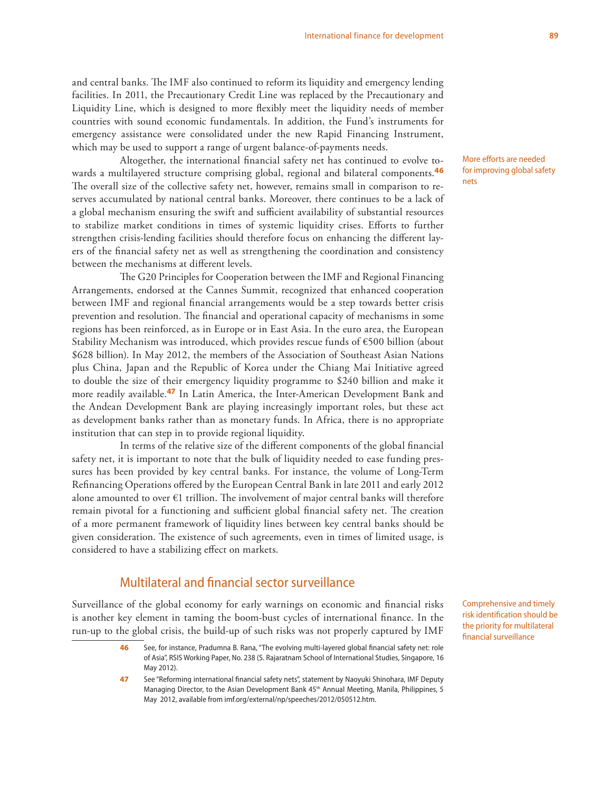and central banks. The IMF also continued to reform its liquidity and emergency lending facilities. In 2011, the Precautionary Credit Line was replaced by the Precautionary and Liquidity Line, which is designed to more flexibly meet the liquidity needs of member countries with sound economic fundamentals. In addition, the Fund's instruments for emergency assistance were consolidated under the new Rapid Financing Instrument, which may be used to support a range of urgent balance-of-payments needs.

Altogether, the international financial safety net has continued to evolve towards a multilayered structure comprising global, regional and bilateral components.**<sup>46</sup>** The overall size of the collective safety net, however, remains small in comparison to reserves accumulated by national central banks. Moreover, there continues to be a lack of a global mechanism ensuring the swift and sufficient availability of substantial resources to stabilize market conditions in times of systemic liquidity crises. Efforts to further strengthen crisis-lending facilities should therefore focus on enhancing the different layers of the financial safety net as well as strengthening the coordination and consistency between the mechanisms at different levels.

The G20 Principles for Cooperation between the IMF and Regional Financing Arrangements, endorsed at the Cannes Summit, recognized that enhanced cooperation between IMF and regional financial arrangements would be a step towards better crisis prevention and resolution. The financial and operational capacity of mechanisms in some regions has been reinforced, as in Europe or in East Asia. In the euro area, the European Stability Mechanism was introduced, which provides rescue funds of €500 billion (about \$628 billion). In May 2012, the members of the Association of Southeast Asian Nations plus China, Japan and the Republic of Korea under the Chiang Mai Initiative agreed to double the size of their emergency liquidity programme to \$240 billion and make it more readily available.**47** In Latin America, the Inter-American Development Bank and the Andean Development Bank are playing increasingly important roles, but these act as development banks rather than as monetary funds. In Africa, there is no appropriate institution that can step in to provide regional liquidity.

In terms of the relative size of the different components of the global financial safety net, it is important to note that the bulk of liquidity needed to ease funding pressures has been provided by key central banks. For instance, the volume of Long-Term Refinancing Operations offered by the European Central Bank in late 2011 and early 2012 alone amounted to over  $\epsilon$ 1 trillion. The involvement of major central banks will therefore remain pivotal for a functioning and sufficient global financial safety net. The creation of a more permanent framework of liquidity lines between key central banks should be given consideration. The existence of such agreements, even in times of limited usage, is considered to have a stabilizing effect on markets.

# Multilateral and financial sector surveillance

Surveillance of the global economy for early warnings on economic and financial risks is another key element in taming the boom-bust cycles of international finance. In the run-up to the global crisis, the build-up of such risks was not properly captured by IMF Comprehensive and timely risk identification should be the priority for multilateral financial surveillance

More efforts are needed for improving global safety nets

**<sup>46</sup>** See, for instance, Pradumna B. Rana, "The evolving multi-layered global financial safety net: role of Asia", RSIS Working Paper, No. 238 (S. Rajaratnam School of International Studies, Singapore, 16 May 2012).

**<sup>47</sup>** See "Reforming international financial safety nets", statement by Naoyuki Shinohara, IMF Deputy Managing Director, to the Asian Development Bank 45<sup>th</sup> Annual Meeting, Manila, Philippines, 5 May 2012, available from imf.org/external/np/speeches/2012/050512.htm.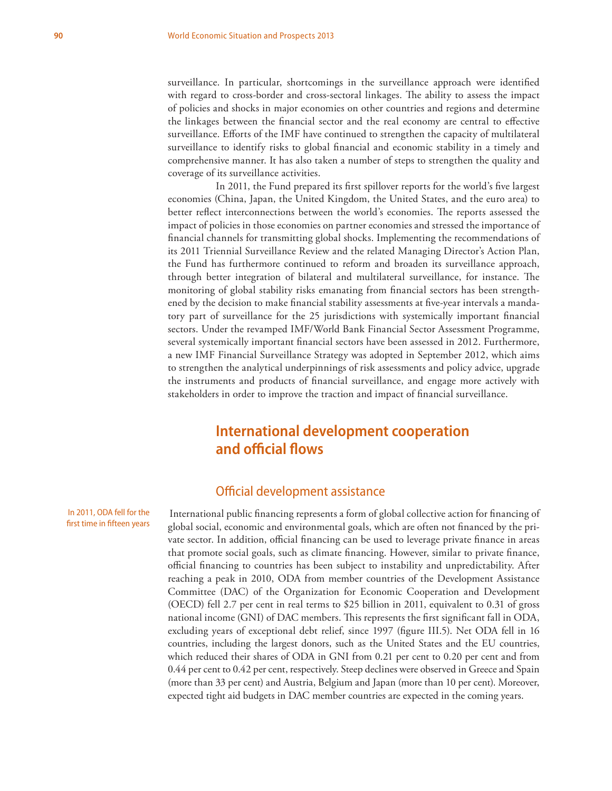surveillance. In particular, shortcomings in the surveillance approach were identified with regard to cross-border and cross-sectoral linkages. The ability to assess the impact of policies and shocks in major economies on other countries and regions and determine the linkages between the financial sector and the real economy are central to effective surveillance. Efforts of the IMF have continued to strengthen the capacity of multilateral surveillance to identify risks to global financial and economic stability in a timely and comprehensive manner. It has also taken a number of steps to strengthen the quality and coverage of its surveillance activities.

In 2011, the Fund prepared its first spillover reports for the world's five largest economies (China, Japan, the United Kingdom, the United States, and the euro area) to better reflect interconnections between the world's economies. The reports assessed the impact of policies in those economies on partner economies and stressed the importance of financial channels for transmitting global shocks. Implementing the recommendations of its 2011 Triennial Surveillance Review and the related Managing Director's Action Plan, the Fund has furthermore continued to reform and broaden its surveillance approach, through better integration of bilateral and multilateral surveillance, for instance. The monitoring of global stability risks emanating from financial sectors has been strengthened by the decision to make financial stability assessments at five-year intervals a mandatory part of surveillance for the 25 jurisdictions with systemically important financial sectors. Under the revamped IMF/World Bank Financial Sector Assessment Programme, several systemically important financial sectors have been assessed in 2012. Furthermore, a new IMF Financial Surveillance Strategy was adopted in September 2012, which aims to strengthen the analytical underpinnings of risk assessments and policy advice, upgrade the instruments and products of financial surveillance, and engage more actively with stakeholders in order to improve the traction and impact of financial surveillance.

# **International development cooperation and official flows**

# Official development assistance

International public financing represents a form of global collective action for financing of global social, economic and environmental goals, which are often not financed by the private sector. In addition, official financing can be used to leverage private finance in areas that promote social goals, such as climate financing. However, similar to private finance, official financing to countries has been subject to instability and unpredictability. After reaching a peak in 2010, ODA from member countries of the Development Assistance Committee (DAC) of the Organization for Economic Cooperation and Development (OECD) fell 2.7 per cent in real terms to \$25 billion in 2011, equivalent to 0.31 of gross national income (GNI) of DAC members. This represents the first significant fall in ODA, excluding years of exceptional debt relief, since 1997 (figure III.5). Net ODA fell in 16 countries, including the largest donors, such as the United States and the EU countries, which reduced their shares of ODA in GNI from 0.21 per cent to 0.20 per cent and from 0.44 per cent to 0.42 per cent, respectively. Steep declines were observed in Greece and Spain (more than 33 per cent) and Austria, Belgium and Japan (more than 10 per cent). Moreover, expected tight aid budgets in DAC member countries are expected in the coming years.

In 2011, ODA fell for the first time in fifteen years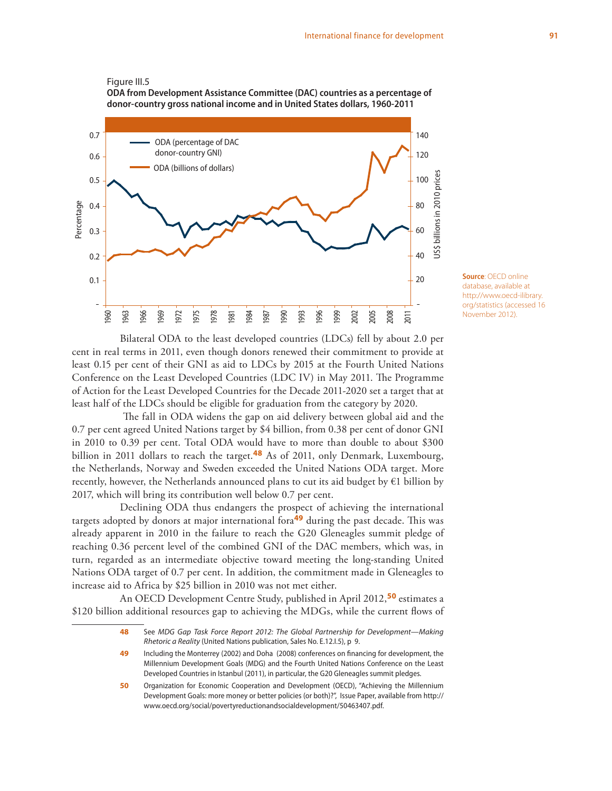#### Figure III.5

**ODA from Development Assistance Committee (DAC) countries as a percentage of donor-country gross national income and in United States dollars, 1960-2011**



database, available at http://www.oecd-ilibrary. org/statistics (accessed 16 November 2012).

Bilateral ODA to the least developed countries (LDCs) fell by about 2.0 per cent in real terms in 2011, even though donors renewed their commitment to provide at least 0.15 per cent of their GNI as aid to LDCs by 2015 at the Fourth United Nations Conference on the Least Developed Countries (LDC IV) in May 2011. The Programme of Action for the Least Developed Countries for the Decade 2011-2020 set a target that at least half of the LDCs should be eligible for graduation from the category by 2020.

 The fall in ODA widens the gap on aid delivery between global aid and the 0.7 per cent agreed United Nations target by \$4 billion, from 0.38 per cent of donor GNI in 2010 to 0.39 per cent. Total ODA would have to more than double to about \$300 billion in 2011 dollars to reach the target.**48** As of 2011, only Denmark, Luxembourg, the Netherlands, Norway and Sweden exceeded the United Nations ODA target. More recently, however, the Netherlands announced plans to cut its aid budget by  $\epsilon$ 1 billion by 2017, which will bring its contribution well below 0.7 per cent.

Declining ODA thus endangers the prospect of achieving the international targets adopted by donors at major international fora**49** during the past decade. This was already apparent in 2010 in the failure to reach the G20 Gleneagles summit pledge of reaching 0.36 percent level of the combined GNI of the DAC members, which was, in turn, regarded as an intermediate objective toward meeting the long-standing United Nations ODA target of 0.7 per cent. In addition, the commitment made in Gleneagles to increase aid to Africa by \$25 billion in 2010 was not met either.

An OECD Development Centre Study, published in April 2012,**50** estimates a \$120 billion additional resources gap to achieving the MDGs, while the current flows of

- **48** See *MDG Gap Task Force Report 2012: The Global Partnership for Development—Making Rhetoric a Reality* (United Nations publication, Sales No. E.12.I.5), p 9.
- **49** Including the Monterrey (2002) and Doha (2008) conferences on financing for development, the Millennium Development Goals (MDG) and the Fourth United Nations Conference on the Least Developed Countries in Istanbul (2011), in particular, the G20 Gleneagles summit pledges.
- **50** Organization for Economic Cooperation and Development (OECD), "Achieving the Millennium Development Goals: more money or better policies (or both)?", Issue Paper, available from http:// www.oecd.org/social/povertyreductionandsocialdevelopment/50463407.pdf.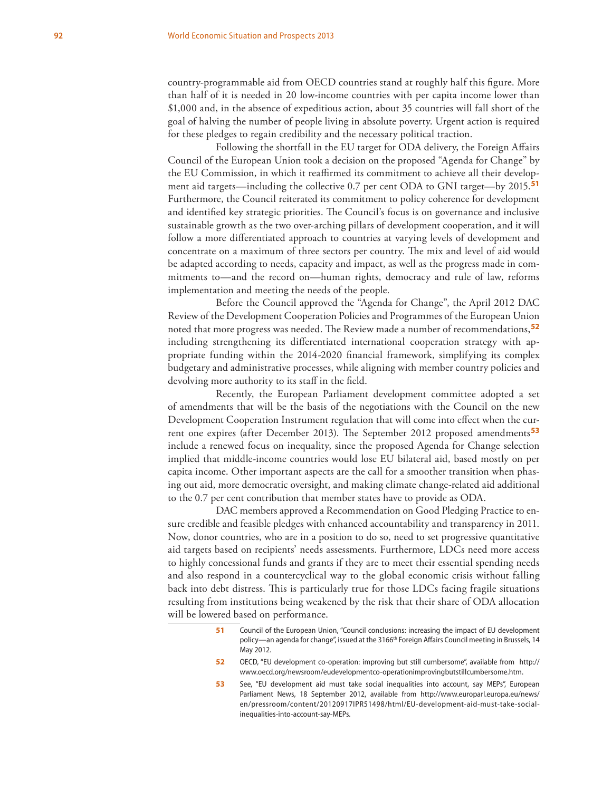country-programmable aid from OECD countries stand at roughly half this figure. More than half of it is needed in 20 low-income countries with per capita income lower than \$1,000 and, in the absence of expeditious action, about 35 countries will fall short of the goal of halving the number of people living in absolute poverty. Urgent action is required for these pledges to regain credibility and the necessary political traction.

Following the shortfall in the EU target for ODA delivery, the Foreign Affairs Council of the European Union took a decision on the proposed "Agenda for Change" by the EU Commission, in which it reaffirmed its commitment to achieve all their development aid targets—including the collective 0.7 per cent ODA to GNI target—by 2015.**<sup>51</sup>** Furthermore, the Council reiterated its commitment to policy coherence for development and identified key strategic priorities. The Council's focus is on governance and inclusive sustainable growth as the two over-arching pillars of development cooperation, and it will follow a more differentiated approach to countries at varying levels of development and concentrate on a maximum of three sectors per country. The mix and level of aid would be adapted according to needs, capacity and impact, as well as the progress made in commitments to—and the record on—human rights, democracy and rule of law, reforms implementation and meeting the needs of the people.

Before the Council approved the "Agenda for Change", the April 2012 DAC Review of the Development Cooperation Policies and Programmes of the European Union noted that more progress was needed. The Review made a number of recommendations,**<sup>52</sup>** including strengthening its differentiated international cooperation strategy with appropriate funding within the 2014-2020 financial framework, simplifying its complex budgetary and administrative processes, while aligning with member country policies and devolving more authority to its staff in the field.

Recently, the European Parliament development committee adopted a set of amendments that will be the basis of the negotiations with the Council on the new Development Cooperation Instrument regulation that will come into effect when the current one expires (after December 2013). The September 2012 proposed amendments**<sup>53</sup>** include a renewed focus on inequality, since the proposed Agenda for Change selection implied that middle-income countries would lose EU bilateral aid, based mostly on per capita income. Other important aspects are the call for a smoother transition when phasing out aid, more democratic oversight, and making climate change-related aid additional to the 0.7 per cent contribution that member states have to provide as ODA.

DAC members approved a Recommendation on Good Pledging Practice to ensure credible and feasible pledges with enhanced accountability and transparency in 2011. Now, donor countries, who are in a position to do so, need to set progressive quantitative aid targets based on recipients' needs assessments. Furthermore, LDCs need more access to highly concessional funds and grants if they are to meet their essential spending needs and also respond in a countercyclical way to the global economic crisis without falling back into debt distress. This is particularly true for those LDCs facing fragile situations resulting from institutions being weakened by the risk that their share of ODA allocation will be lowered based on performance.

- **51** Council of the European Union, "Council conclusions: increasing the impact of EU development policy—an agenda for change", issued at the 3166<sup>th</sup> Foreign Affairs Council meeting in Brussels, 14 May 2012.
- **52** OECD, "EU development co-operation: improving but still cumbersome", available from http:// www.oecd.org/newsroom/eudevelopmentco-operationimprovingbutstillcumbersome.htm.
- **53** See, "EU development aid must take social inequalities into account, say MEPs", European Parliament News, 18 September 2012, available from http://www.europarl.europa.eu/news/ en/pressroom/content/20120917IPR51498/html/EU-development-aid-must-take-socialinequalities-into-account-say-MEPs.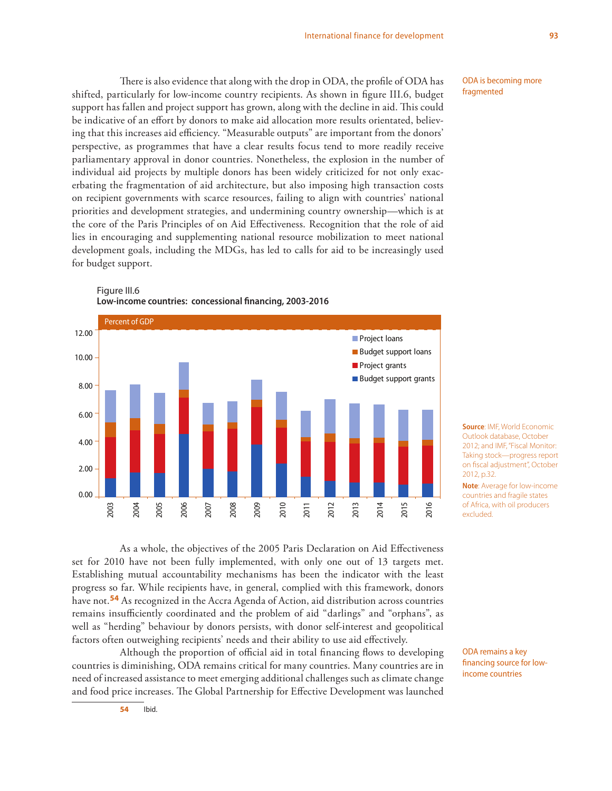### There is also evidence that along with the drop in ODA, the profile of ODA has shifted, particularly for low-income country recipients. As shown in figure III.6, budget support has fallen and project support has grown, along with the decline in aid. This could be indicative of an effort by donors to make aid allocation more results orientated, believing that this increases aid efficiency. "Measurable outputs" are important from the donors' perspective, as programmes that have a clear results focus tend to more readily receive parliamentary approval in donor countries. Nonetheless, the explosion in the number of individual aid projects by multiple donors has been widely criticized for not only exacerbating the fragmentation of aid architecture, but also imposing high transaction costs on recipient governments with scarce resources, failing to align with countries' national priorities and development strategies, and undermining country ownership—which is at the core of the Paris Principles of on Aid Effectiveness. Recognition that the role of aid lies in encouraging and supplementing national resource mobilization to meet national development goals, including the MDGs, has led to calls for aid to be increasingly used for budget support.

#### 0.00 2.00 4.00 6.00 8.00 10.00 12.00 2003 2004 2005 2006 2007 2008 2009 2010 2011 2012 2013 2014 2015 2016 **Project loans** Budget support loans **Project grants** Budget support grants Percent of GDP

**Source**: IMF, World Economic Outlook database, October 2012; and IMF, "Fiscal Monitor: Taking stock—progress report on fiscal adjustment", October 2012, p.32.

**Note**: Average for low-income countries and fragile states of Africa, with oil producers excluded.

As a whole, the objectives of the 2005 Paris Declaration on Aid Effectiveness set for 2010 have not been fully implemented, with only one out of 13 targets met. Establishing mutual accountability mechanisms has been the indicator with the least progress so far. While recipients have, in general, complied with this framework, donors have not.**54** As recognized in the Accra Agenda of Action, aid distribution across countries remains insufficiently coordinated and the problem of aid "darlings" and "orphans", as well as "herding" behaviour by donors persists, with donor self-interest and geopolitical factors often outweighing recipients' needs and their ability to use aid effectively.

Although the proportion of official aid in total financing flows to developing countries is diminishing, ODA remains critical for many countries. Many countries are in need of increased assistance to meet emerging additional challenges such as climate change and food price increases. The Global Partnership for Effective Development was launched

**54** Ibid.

ODA remains a key financing source for lowincome countries

Figure III.6 **Low-income countries: concessional financing, 2003-2016**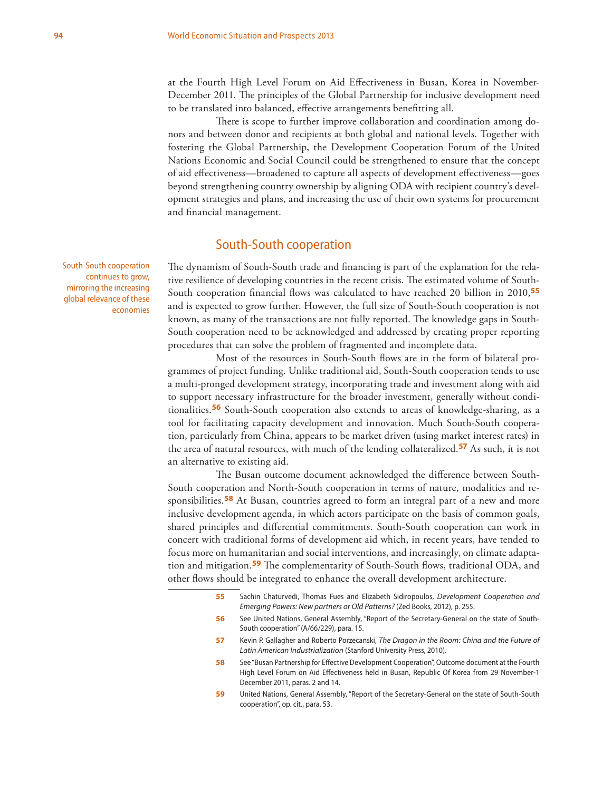at the Fourth High Level Forum on Aid Effectiveness in Busan, Korea in November-December 2011. The principles of the Global Partnership for inclusive development need to be translated into balanced, effective arrangements benefitting all.

There is scope to further improve collaboration and coordination among donors and between donor and recipients at both global and national levels. Together with fostering the Global Partnership, the Development Cooperation Forum of the United Nations Economic and Social Council could be strengthened to ensure that the concept of aid effectiveness—broadened to capture all aspects of development effectiveness—goes beyond strengthening country ownership by aligning ODA with recipient country's development strategies and plans, and increasing the use of their own systems for procurement and financial management.

# South-South cooperation

The dynamism of South-South trade and financing is part of the explanation for the relative resilience of developing countries in the recent crisis. The estimated volume of South-South cooperation financial flows was calculated to have reached 20 billion in 2010,**<sup>55</sup>** and is expected to grow further. However, the full size of South-South cooperation is not known, as many of the transactions are not fully reported. The knowledge gaps in South-South cooperation need to be acknowledged and addressed by creating proper reporting procedures that can solve the problem of fragmented and incomplete data.

Most of the resources in South-South flows are in the form of bilateral programmes of project funding. Unlike traditional aid, South-South cooperation tends to use a multi-pronged development strategy, incorporating trade and investment along with aid to support necessary infrastructure for the broader investment, generally without conditionalities.**56** South-South cooperation also extends to areas of knowledge-sharing, as a tool for facilitating capacity development and innovation. Much South-South cooperation, particularly from China, appears to be market driven (using market interest rates) in the area of natural resources, with much of the lending collateralized.**57** As such, it is not an alternative to existing aid.

The Busan outcome document acknowledged the difference between South-South cooperation and North-South cooperation in terms of nature, modalities and responsibilities.**58** At Busan, countries agreed to form an integral part of a new and more inclusive development agenda, in which actors participate on the basis of common goals, shared principles and differential commitments. South-South cooperation can work in concert with traditional forms of development aid which, in recent years, have tended to focus more on humanitarian and social interventions, and increasingly, on climate adaptation and mitigation.**59** The complementarity of South-South flows, traditional ODA, and other flows should be integrated to enhance the overall development architecture.

- **55** Sachin Chaturvedi, Thomas Fues and Elizabeth Sidiropoulos, *Development Cooperation and Emerging Powers: New partners or Old Patterns?* (Zed Books, 2012), p. 255.
- **56** See United Nations, General Assembly, "Report of the Secretary-General on the state of South-South cooperation" (A/66/229), para. 15.
- **57** Kevin P. Gallagher and Roberto Porzecanski, *The Dragon in the Room: China and the Future of Latin American Industrialization* (Stanford University Press, 2010).
- **58** See "Busan Partnership for Effective Development Cooperation", Outcome document at the Fourth High Level Forum on Aid Effectiveness held in Busan, Republic Of Korea from 29 November-1 December 2011, paras. 2 and 14.
- **59** United Nations, General Assembly, "Report of the Secretary-General on the state of South-South cooperation", op. cit., para. 53.

South-South cooperation continues to grow, mirroring the increasing global relevance of these economies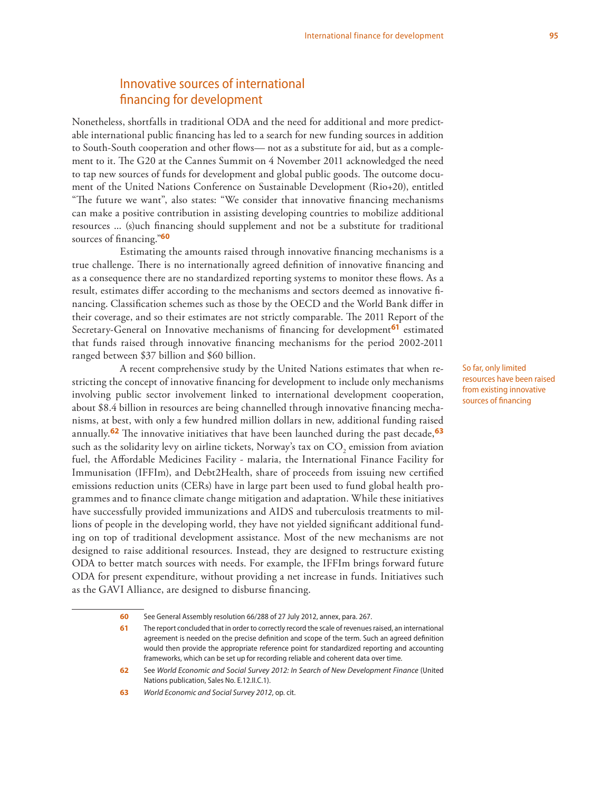# Innovative sources of international financing for development

Nonetheless, shortfalls in traditional ODA and the need for additional and more predictable international public financing has led to a search for new funding sources in addition to South-South cooperation and other flows— not as a substitute for aid, but as a complement to it. The G20 at the Cannes Summit on 4 November 2011 acknowledged the need to tap new sources of funds for development and global public goods. The outcome document of the United Nations Conference on Sustainable Development (Rio+20), entitled "The future we want", also states: "We consider that innovative financing mechanisms can make a positive contribution in assisting developing countries to mobilize additional resources ... (s)uch financing should supplement and not be a substitute for traditional sources of financing."**<sup>60</sup>**

Estimating the amounts raised through innovative financing mechanisms is a true challenge. There is no internationally agreed definition of innovative financing and as a consequence there are no standardized reporting systems to monitor these flows. As a result, estimates differ according to the mechanisms and sectors deemed as innovative financing. Classification schemes such as those by the OECD and the World Bank differ in their coverage, and so their estimates are not strictly comparable. The 2011 Report of the Secretary-General on Innovative mechanisms of financing for development**61** estimated that funds raised through innovative financing mechanisms for the period 2002-2011 ranged between \$37 billion and \$60 billion.

A recent comprehensive study by the United Nations estimates that when restricting the concept of innovative financing for development to include only mechanisms involving public sector involvement linked to international development cooperation, about \$8.4 billion in resources are being channelled through innovative financing mechanisms, at best, with only a few hundred million dollars in new, additional funding raised annually.**62** The innovative initiatives that have been launched during the past decade,**<sup>63</sup>** such as the solidarity levy on airline tickets, Norway's tax on  $\mathrm{CO}_2$  emission from aviation fuel, the Affordable Medicines Facility - malaria, the International Finance Facility for Immunisation (IFFIm), and Debt2Health, share of proceeds from issuing new certified emissions reduction units (CERs) have in large part been used to fund global health programmes and to finance climate change mitigation and adaptation. While these initiatives have successfully provided immunizations and AIDS and tuberculosis treatments to millions of people in the developing world, they have not yielded significant additional funding on top of traditional development assistance. Most of the new mechanisms are not designed to raise additional resources. Instead, they are designed to restructure existing ODA to better match sources with needs. For example, the IFFIm brings forward future ODA for present expenditure, without providing a net increase in funds. Initiatives such as the GAVI Alliance, are designed to disburse financing.

So far, only limited resources have been raised from existing innovative sources of financing

**<sup>60</sup>** See General Assembly resolution 66/288 of 27 July 2012, annex, para. 267.

**<sup>61</sup>** The report concluded that in order to correctly record the scale of revenues raised, an international agreement is needed on the precise definition and scope of the term. Such an agreed definition would then provide the appropriate reference point for standardized reporting and accounting frameworks, which can be set up for recording reliable and coherent data over time.

**<sup>62</sup>** See *World Economic and Social Survey 2012: In Search of New Development Finance* (United Nations publication, Sales No. E.12.II.C.1).

**<sup>63</sup>** *World Economic and Social Survey 2012*, op. cit.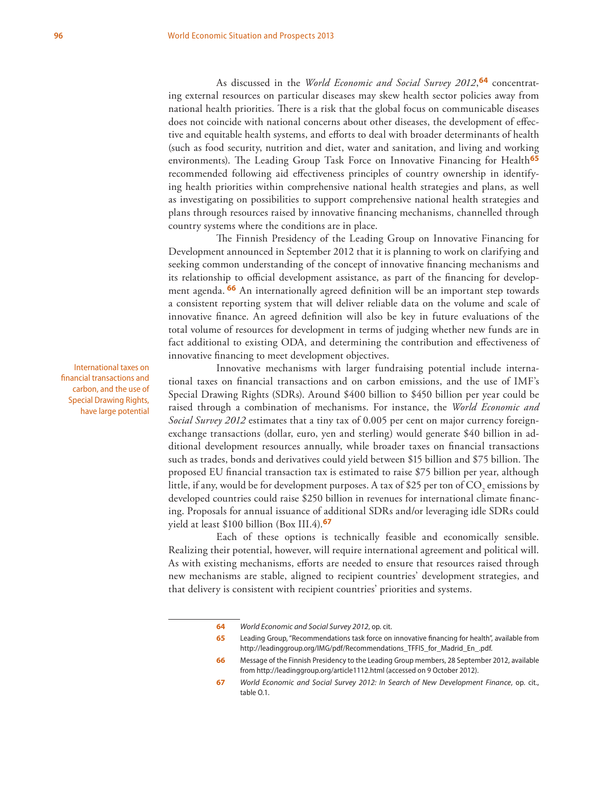As discussed in the *World Economic and Social Survey 2012*, **<sup>64</sup>** concentrating external resources on particular diseases may skew health sector policies away from national health priorities. There is a risk that the global focus on communicable diseases does not coincide with national concerns about other diseases, the development of effective and equitable health systems, and efforts to deal with broader determinants of health (such as food security, nutrition and diet, water and sanitation, and living and working environments). The Leading Group Task Force on Innovative Financing for Health**<sup>65</sup>** recommended following aid effectiveness principles of country ownership in identifying health priorities within comprehensive national health strategies and plans, as well as investigating on possibilities to support comprehensive national health strategies and plans through resources raised by innovative financing mechanisms, channelled through country systems where the conditions are in place.

The Finnish Presidency of the Leading Group on Innovative Financing for Development announced in September 2012 that it is planning to work on clarifying and seeking common understanding of the concept of innovative financing mechanisms and its relationship to official development assistance, as part of the financing for development agenda. **<sup>66</sup>** An internationally agreed definition will be an important step towards a consistent reporting system that will deliver reliable data on the volume and scale of innovative finance. An agreed definition will also be key in future evaluations of the total volume of resources for development in terms of judging whether new funds are in fact additional to existing ODA, and determining the contribution and effectiveness of innovative financing to meet development objectives.

Innovative mechanisms with larger fundraising potential include international taxes on financial transactions and on carbon emissions, and the use of IMF's Special Drawing Rights (SDRs). Around \$400 billion to \$450 billion per year could be raised through a combination of mechanisms. For instance, the *World Economic and Social Survey 2012* estimates that a tiny tax of 0.005 per cent on major currency foreignexchange transactions (dollar, euro, yen and sterling) would generate \$40 billion in additional development resources annually, while broader taxes on financial transactions such as trades, bonds and derivatives could yield between \$15 billion and \$75 billion. The proposed EU financial transaction tax is estimated to raise \$75 billion per year, although little, if any, would be for development purposes. A tax of \$25 per ton of  $\mathrm{CO}_2$  emissions by developed countries could raise \$250 billion in revenues for international climate financing. Proposals for annual issuance of additional SDRs and/or leveraging idle SDRs could yield at least \$100 billion (Box III.4).**<sup>67</sup>**

Each of these options is technically feasible and economically sensible. Realizing their potential, however, will require international agreement and political will. As with existing mechanisms, efforts are needed to ensure that resources raised through new mechanisms are stable, aligned to recipient countries' development strategies, and that delivery is consistent with recipient countries' priorities and systems.

**64** *World Economic and Social Survey 2012*, op. cit.

- **65** Leading Group, "Recommendations task force on innovative financing for health", available from http://leadinggroup.org/IMG/pdf/Recommendations\_TFFIS\_for\_Madrid\_En\_.pdf.
- **66** Message of the Finnish Presidency to the Leading Group members, 28 September 2012, available from http://leadinggroup.org/article1112.html (accessed on 9 October 2012).
- **67** *World Economic and Social Survey 2012: In Search of New Development Finance*, op. cit., table O.1.

International taxes on financial transactions and carbon, and the use of Special Drawing Rights, have large potential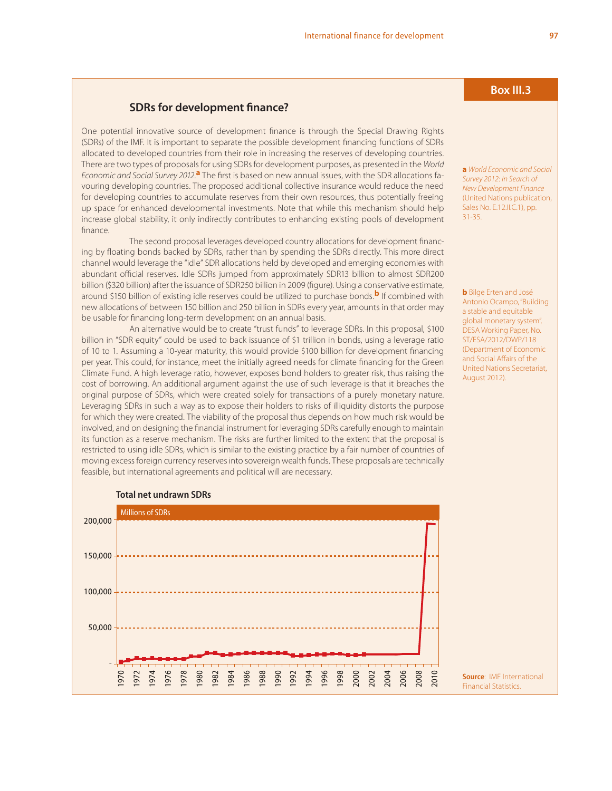#### **SDRs for development finance?**

One potential innovative source of development finance is through the Special Drawing Rights (SDRs) of the IMF. It is important to separate the possible development financing functions of SDRs allocated to developed countries from their role in increasing the reserves of developing countries. There are two types of proposals for using SDRs for development purposes, as presented in the *World Economic and Social Survey 2012*. **a** The first is based on new annual issues, with the SDR allocations favouring developing countries. The proposed additional collective insurance would reduce the need for developing countries to accumulate reserves from their own resources, thus potentially freeing up space for enhanced developmental investments. Note that while this mechanism should help increase global stability, it only indirectly contributes to enhancing existing pools of development finance.

The second proposal leverages developed country allocations for development financing by floating bonds backed by SDRs, rather than by spending the SDRs directly. This more direct channel would leverage the "idle" SDR allocations held by developed and emerging economies with abundant official reserves. Idle SDRs jumped from approximately SDR13 billion to almost SDR200 billion (\$320 billion) after the issuance of SDR250 billion in 2009 (figure). Using a conservative estimate, around \$150 billion of existing idle reserves could be utilized to purchase bonds.**b** If combined with new allocations of between 150 billion and 250 billion in SDRs every year, amounts in that order may be usable for financing long-term development on an annual basis.

An alternative would be to create "trust funds" to leverage SDRs. In this proposal, \$100 billion in "SDR equity" could be used to back issuance of \$1 trillion in bonds, using a leverage ratio of 10 to 1. Assuming a 10-year maturity, this would provide \$100 billion for development financing per year. This could, for instance, meet the initially agreed needs for climate financing for the Green Climate Fund. A high leverage ratio, however, exposes bond holders to greater risk, thus raising the cost of borrowing. An additional argument against the use of such leverage is that it breaches the original purpose of SDRs, which were created solely for transactions of a purely monetary nature. Leveraging SDRs in such a way as to expose their holders to risks of illiquidity distorts the purpose for which they were created. The viability of the proposal thus depends on how much risk would be involved, and on designing the financial instrument for leveraging SDRs carefully enough to maintain its function as a reserve mechanism. The risks are further limited to the extent that the proposal is restricted to using idle SDRs, which is similar to the existing practice by a fair number of countries of moving excess foreign currency reserves into sovereign wealth funds. These proposals are technically feasible, but international agreements and political will are necessary.

**a** *World Economic and Social Survey 2012*: *In Search of New Development Finance*  (United Nations publication, Sales No. E.12.II.C.1), pp. 31-35.

**b** Bilge Erten and José Antonio Ocampo, "Building a stable and equitable global monetary system", DESA Working Paper, No. ST/ESA/2012/DWP/118 (Department of Economic and Social Affairs of the United Nations Secretariat, August 2012).



#### **Total net undrawn SDRs**

**Source**: IMF International Financial Statistics.

#### **Box III.3**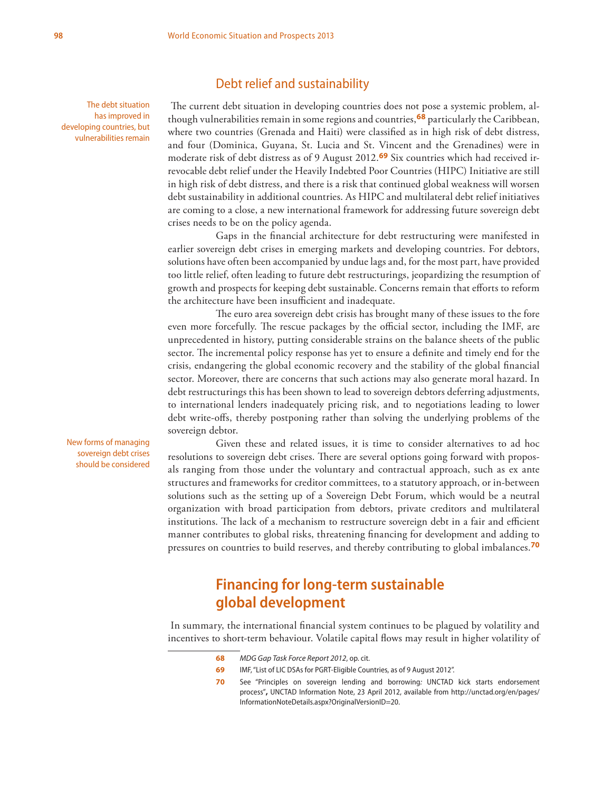The debt situation has improved in developing countries, but vulnerabilities remain

# Debt relief and sustainability

The current debt situation in developing countries does not pose a systemic problem, although vulnerabilities remain in some regions and countries,**68** particularly the Caribbean, where two countries (Grenada and Haiti) were classified as in high risk of debt distress, and four (Dominica, Guyana, St. Lucia and St. Vincent and the Grenadines) were in moderate risk of debt distress as of 9 August 2012.**69** Six countries which had received irrevocable debt relief under the Heavily Indebted Poor Countries (HIPC) Initiative are still in high risk of debt distress, and there is a risk that continued global weakness will worsen debt sustainability in additional countries. As HIPC and multilateral debt relief initiatives are coming to a close, a new international framework for addressing future sovereign debt crises needs to be on the policy agenda.

Gaps in the financial architecture for debt restructuring were manifested in earlier sovereign debt crises in emerging markets and developing countries. For debtors, solutions have often been accompanied by undue lags and, for the most part, have provided too little relief, often leading to future debt restructurings, jeopardizing the resumption of growth and prospects for keeping debt sustainable. Concerns remain that efforts to reform the architecture have been insufficient and inadequate.

The euro area sovereign debt crisis has brought many of these issues to the fore even more forcefully. The rescue packages by the official sector, including the IMF, are unprecedented in history, putting considerable strains on the balance sheets of the public sector. The incremental policy response has yet to ensure a definite and timely end for the crisis, endangering the global economic recovery and the stability of the global financial sector. Moreover, there are concerns that such actions may also generate moral hazard. In debt restructurings this has been shown to lead to sovereign debtors deferring adjustments, to international lenders inadequately pricing risk, and to negotiations leading to lower debt write-offs, thereby postponing rather than solving the underlying problems of the sovereign debtor.

Given these and related issues, it is time to consider alternatives to ad hoc resolutions to sovereign debt crises. There are several options going forward with proposals ranging from those under the voluntary and contractual approach, such as ex ante structures and frameworks for creditor committees, to a statutory approach, or in-between solutions such as the setting up of a Sovereign Debt Forum, which would be a neutral organization with broad participation from debtors, private creditors and multilateral institutions. The lack of a mechanism to restructure sovereign debt in a fair and efficient manner contributes to global risks, threatening financing for development and adding to pressures on countries to build reserves, and thereby contributing to global imbalances.**<sup>70</sup>**

# **Financing for long-term sustainable global development**

In summary, the international financial system continues to be plagued by volatility and incentives to short-term behaviour. Volatile capital flows may result in higher volatility of

New forms of managing sovereign debt crises should be considered

**<sup>68</sup>** *MDG Gap Task Force Report 2012*, op. cit.

**<sup>69</sup>** IMF, "List of LIC DSAs for PGRT-Eligible Countries, as of 9 August 2012".

**<sup>70</sup>** See "Principles on sovereign lending and borrowing*:* UNCTAD kick starts endorsement process"**,** UNCTAD Information Note, 23 April 2012, available from http://unctad.org/en/pages/ InformationNoteDetails.aspx?OriginalVersionID=20.